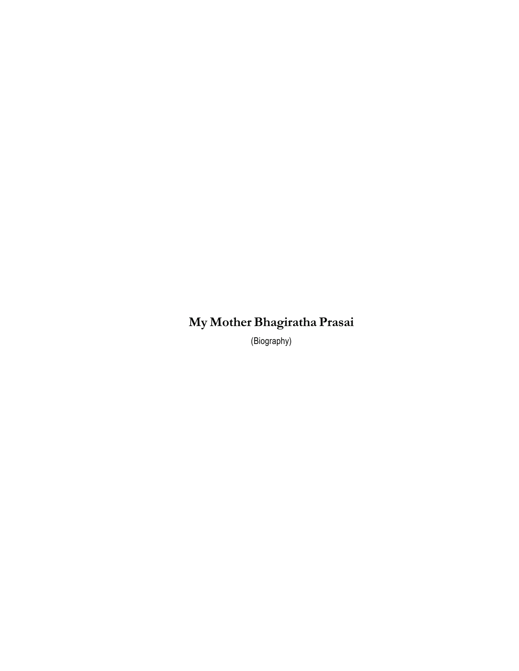## **My Mother Bhagiratha Prasai**

(Biography)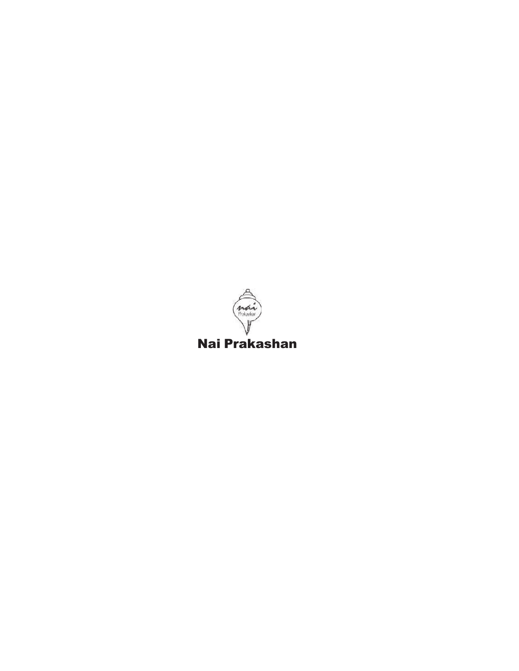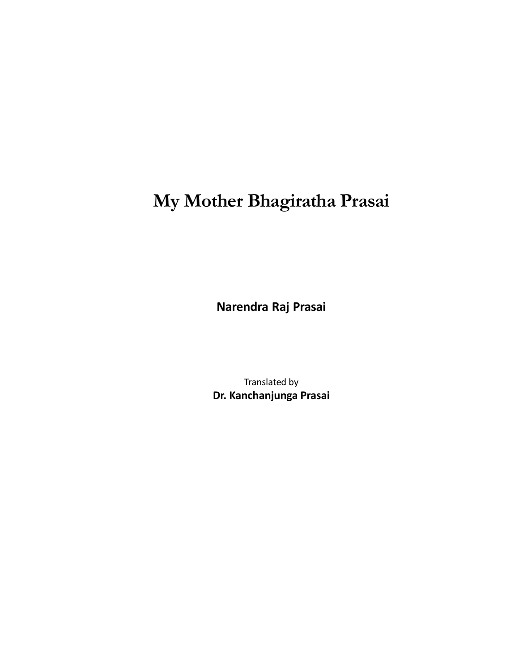# **My Mother Bhagiratha Prasai**

**Narendra Raj Prasai**

Translated by **Dr. Kanchanjunga Prasai**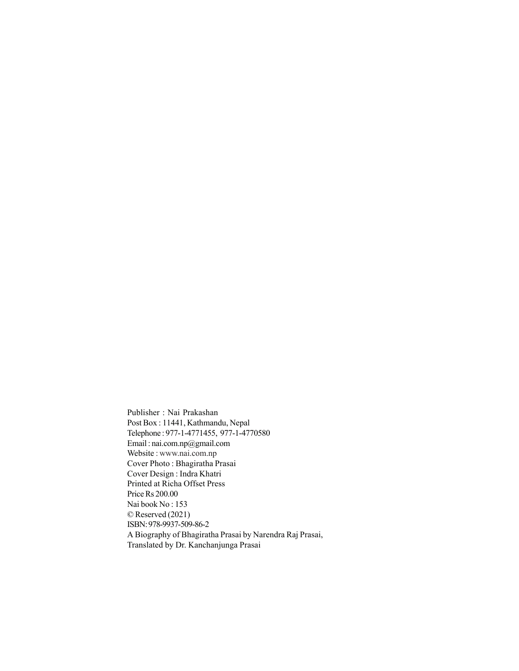Publisher : Nai Prakashan Post Box : 11441, Kathmandu, Nepal Telephone : 977-1-4771455, 977-1-4770580 Email : nai.com.np@gmail.com Website : www.nai.com.np Cover Photo : Bhagiratha Prasai Cover Design : Indra Khatri Printed at Richa Offset Press Price Rs 200.00 Nai book No : 153 © Reserved (2021) ISBN: 978-9937-509-86-2 A Biography of Bhagiratha Prasai by Narendra Raj Prasai, Translated by Dr. Kanchanjunga Prasai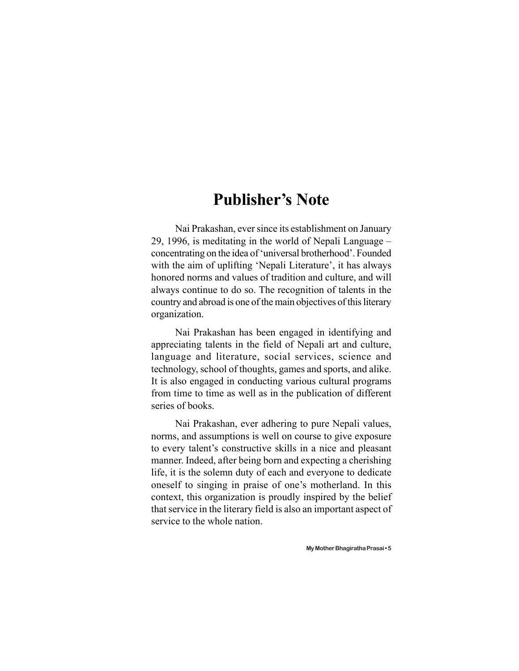### **Publisher's Note**

Nai Prakashan, ever since its establishment on January 29, 1996, is meditating in the world of Nepali Language – concentrating on the idea of 'universal brotherhood'. Founded with the aim of uplifting 'Nepali Literature', it has always honored norms and values of tradition and culture, and will always continue to do so. The recognition of talents in the country and abroad is one of the main objectives of this literary organization.

Nai Prakashan has been engaged in identifying and appreciating talents in the field of Nepali art and culture, language and literature, social services, science and technology, school of thoughts, games and sports, and alike. It is also engaged in conducting various cultural programs from time to time as well as in the publication of different series of books.

Nai Prakashan, ever adhering to pure Nepali values, norms, and assumptions is well on course to give exposure to every talent's constructive skills in a nice and pleasant manner. Indeed, after being born and expecting a cherishing life, it is the solemn duty of each and everyone to dedicate oneself to singing in praise of one's motherland. In this context, this organization is proudly inspired by the belief that service in the literary field is also an important aspect of service to the whole nation.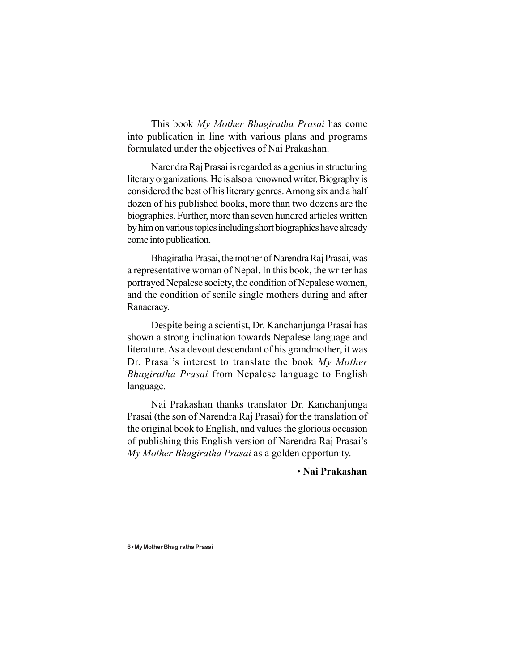This book *My Mother Bhagiratha Prasai* has come into publication in line with various plans and programs formulated under the objectives of Nai Prakashan.

Narendra Raj Prasai is regarded as a genius in structuring literary organizations. He is also a renowned writer. Biography is considered the best of his literary genres. Among six and a half dozen of his published books, more than two dozens are the biographies. Further, more than seven hundred articles written by him on various topics including short biographies have already come into publication.

Bhagiratha Prasai, the mother of Narendra Raj Prasai, was a representative woman of Nepal. In this book, the writer has portrayed Nepalese society, the condition of Nepalese women, and the condition of senile single mothers during and after Ranacracy.

Despite being a scientist, Dr. Kanchanjunga Prasai has shown a strong inclination towards Nepalese language and literature. As a devout descendant of his grandmother, it was Dr. Prasai's interest to translate the book *My Mother Bhagiratha Prasai* from Nepalese language to English language.

Nai Prakashan thanks translator Dr. Kanchanjunga Prasai (the son of Narendra Raj Prasai) for the translation of the original book to English, and values the glorious occasion of publishing this English version of Narendra Raj Prasai's *My Mother Bhagiratha Prasai* as a golden opportunity.

• **Nai Prakashan**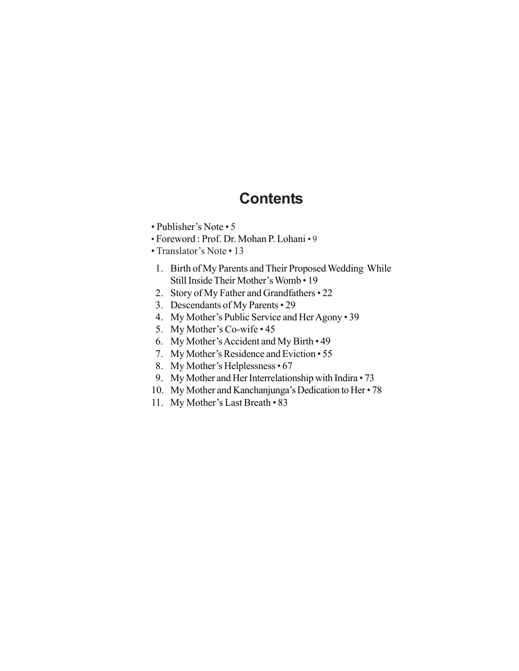### **Contents**

- Publisher's Note 5
- Foreword : Prof. Dr. Mohan P. Lohani 9
- Translator's Note 13
	- 1. Birth of My Parents and Their Proposed Wedding While Still Inside Their Mother's Womb • 19
- 2. Story of My Father and Grandfathers 22
- 3. Descendants of My Parents 29
- 4. My Mother's Public Service and Her Agony 39
- 5. My Mother's Co-wife 45
- 6. My Mother's Accident and My Birth 49
- 7. My Mother's Residence and Eviction 55
- 8. My Mother's Helplessness 67
- 9. My Mother and Her Interrelationship with Indira 73
- 10. My Mother and Kanchanjunga's Dedication to Her 78
- 11. My Mother's Last Breath 83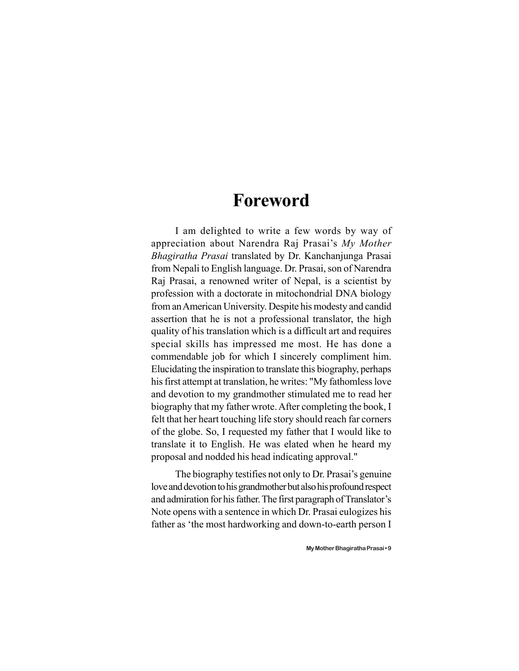### **Foreword**

I am delighted to write a few words by way of appreciation about Narendra Raj Prasai's *My Mother Bhagiratha Prasai* translated by Dr. Kanchanjunga Prasai from Nepali to English language. Dr. Prasai, son of Narendra Raj Prasai, a renowned writer of Nepal, is a scientist by profession with a doctorate in mitochondrial DNA biology from an American University. Despite his modesty and candid assertion that he is not a professional translator, the high quality of his translation which is a difficult art and requires special skills has impressed me most. He has done a commendable job for which I sincerely compliment him. Elucidating the inspiration to translate this biography, perhaps his first attempt at translation, he writes: "My fathomless love and devotion to my grandmother stimulated me to read her biography that my father wrote. After completing the book, I felt that her heart touching life story should reach far corners of the globe. So, I requested my father that I would like to translate it to English. He was elated when he heard my proposal and nodded his head indicating approval."

The biography testifies not only to Dr. Prasai's genuine love and devotion to his grandmother but also his profound respect and admiration for his father. The first paragraph of Translator's Note opens with a sentence in which Dr. Prasai eulogizes his father as 'the most hardworking and down-to-earth person I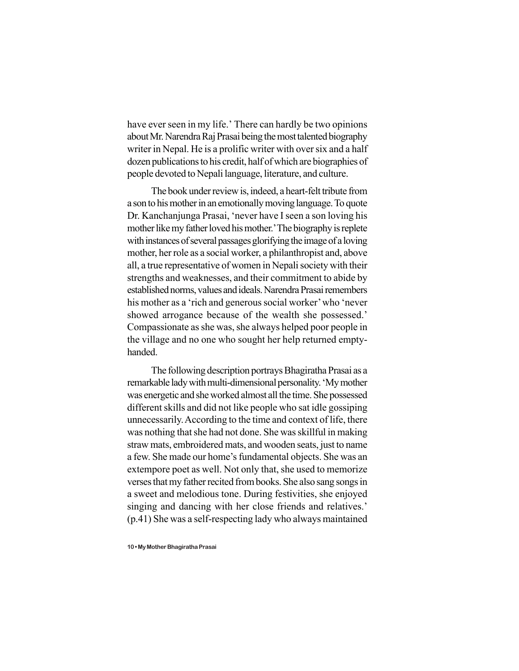have ever seen in my life.' There can hardly be two opinions about Mr. Narendra Raj Prasai being the most talented biography writer in Nepal. He is a prolific writer with over six and a half dozen publications to his credit, half of which are biographies of people devoted to Nepali language, literature, and culture.

The book under review is, indeed, a heart-felt tribute from a son to his mother in an emotionally moving language. To quote Dr. Kanchanjunga Prasai, 'never have I seen a son loving his mother like my father loved his mother.'The biography is replete with instances of several passages glorifying the image of a loving mother, her role as a social worker, a philanthropist and, above all, a true representative of women in Nepali society with their strengths and weaknesses, and their commitment to abide by established norms, values and ideals. Narendra Prasai remembers his mother as a 'rich and generous social worker' who 'never showed arrogance because of the wealth she possessed.' Compassionate as she was, she always helped poor people in the village and no one who sought her help returned emptyhanded.

The following description portrays Bhagiratha Prasai as a remarkable lady with multi-dimensional personality. 'My mother was energetic and she worked almost all the time. She possessed different skills and did not like people who sat idle gossiping unnecessarily. According to the time and context of life, there was nothing that she had not done. She was skillful in making straw mats, embroidered mats, and wooden seats, just to name a few. She made our home's fundamental objects. She was an extempore poet as well. Not only that, she used to memorize verses that my father recited from books. She also sang songs in a sweet and melodious tone. During festivities, she enjoyed singing and dancing with her close friends and relatives.' (p.41) She was a self-respecting lady who always maintained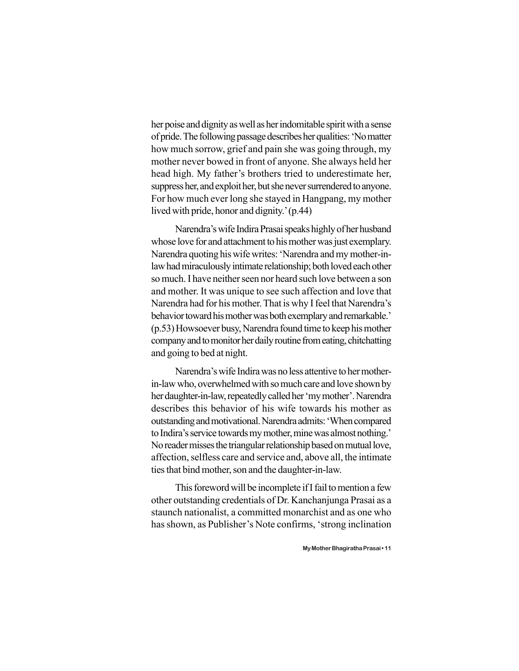her poise and dignity as well as her indomitable spirit with a sense of pride. The following passage describes her qualities: 'No matter how much sorrow, grief and pain she was going through, my mother never bowed in front of anyone. She always held her head high. My father's brothers tried to underestimate her, suppress her, and exploit her, but she never surrendered to anyone. For how much ever long she stayed in Hangpang, my mother lived with pride, honor and dignity.' (p.44)

Narendra's wife Indira Prasai speaks highly of her husband whose love for and attachment to his mother was just exemplary. Narendra quoting his wife writes: 'Narendra and my mother-inlaw had miraculously intimate relationship; both loved each other so much. I have neither seen nor heard such love between a son and mother. It was unique to see such affection and love that Narendra had for his mother. That is why I feel that Narendra's behavior toward his mother was both exemplary and remarkable.' (p.53) Howsoever busy, Narendra found time to keep his mother company and to monitor her daily routine from eating, chitchatting and going to bed at night.

Narendra's wife Indira was no less attentive to her motherin-law who, overwhelmed with so much care and love shown by her daughter-in-law, repeatedly called her 'my mother'. Narendra describes this behavior of his wife towards his mother as outstanding and motivational. Narendra admits: 'When compared to Indira's service towards my mother, mine was almost nothing.' No reader misses the triangular relationship based on mutual love, affection, selfless care and service and, above all, the intimate ties that bind mother, son and the daughter-in-law.

This foreword will be incomplete if I fail to mention a few other outstanding credentials of Dr. Kanchanjunga Prasai as a staunch nationalist, a committed monarchist and as one who has shown, as Publisher's Note confirms, 'strong inclination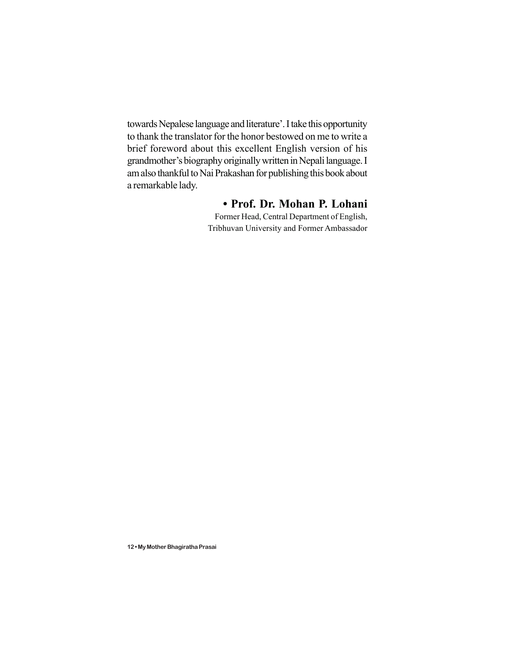towards Nepalese language and literature'. I take this opportunity to thank the translator for the honor bestowed on me to write a brief foreword about this excellent English version of his grandmother's biography originally written in Nepali language. I am also thankful to Nai Prakashan for publishing this book about a remarkable lady.

#### **• Prof. Dr. Mohan P. Lohani**

Former Head, Central Department of English, Tribhuvan University and Former Ambassador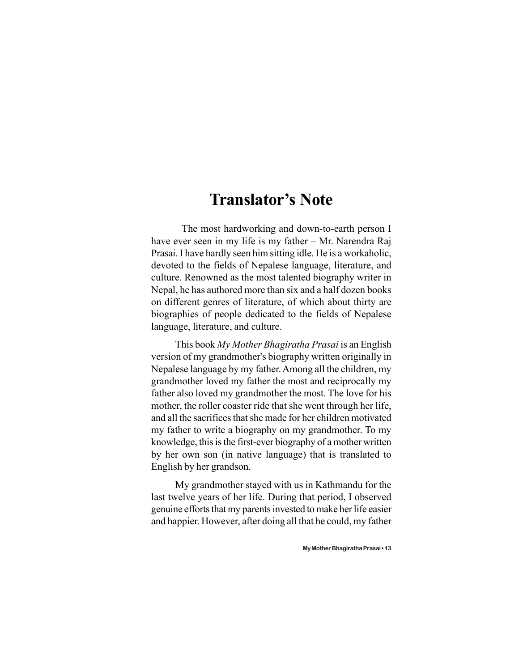### **Translator's Note**

The most hardworking and down-to-earth person I have ever seen in my life is my father – Mr. Narendra Raj Prasai. I have hardly seen him sitting idle. He is a workaholic, devoted to the fields of Nepalese language, literature, and culture. Renowned as the most talented biography writer in Nepal, he has authored more than six and a half dozen books on different genres of literature, of which about thirty are biographies of people dedicated to the fields of Nepalese language, literature, and culture.

This book *My Mother Bhagiratha Prasai* is an English version of my grandmother's biography written originally in Nepalese language by my father. Among all the children, my grandmother loved my father the most and reciprocally my father also loved my grandmother the most. The love for his mother, the roller coaster ride that she went through her life, and all the sacrifices that she made for her children motivated my father to write a biography on my grandmother. To my knowledge, this is the first-ever biography of a mother written by her own son (in native language) that is translated to English by her grandson.

My grandmother stayed with us in Kathmandu for the last twelve years of her life. During that period, I observed genuine efforts that my parents invested to make her life easier and happier. However, after doing all that he could, my father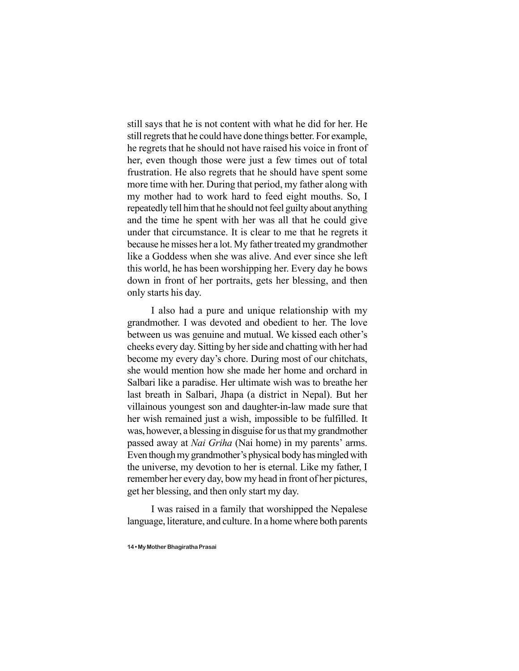still says that he is not content with what he did for her. He still regrets that he could have done things better. For example, he regrets that he should not have raised his voice in front of her, even though those were just a few times out of total frustration. He also regrets that he should have spent some more time with her. During that period, my father along with my mother had to work hard to feed eight mouths. So, I repeatedly tell him that he should not feel guilty about anything and the time he spent with her was all that he could give under that circumstance. It is clear to me that he regrets it because he misses her a lot. My father treated my grandmother like a Goddess when she was alive. And ever since she left this world, he has been worshipping her. Every day he bows down in front of her portraits, gets her blessing, and then only starts his day.

I also had a pure and unique relationship with my grandmother. I was devoted and obedient to her. The love between us was genuine and mutual. We kissed each other's cheeks every day. Sitting by her side and chatting with her had become my every day's chore. During most of our chitchats, she would mention how she made her home and orchard in Salbari like a paradise. Her ultimate wish was to breathe her last breath in Salbari, Jhapa (a district in Nepal). But her villainous youngest son and daughter-in-law made sure that her wish remained just a wish, impossible to be fulfilled. It was, however, a blessing in disguise for us that my grandmother passed away at *Nai Griha* (Nai home) in my parents' arms. Even though my grandmother's physical body has mingled with the universe, my devotion to her is eternal. Like my father, I remember her every day, bow my head in front of her pictures, get her blessing, and then only start my day.

I was raised in a family that worshipped the Nepalese language, literature, and culture. In a home where both parents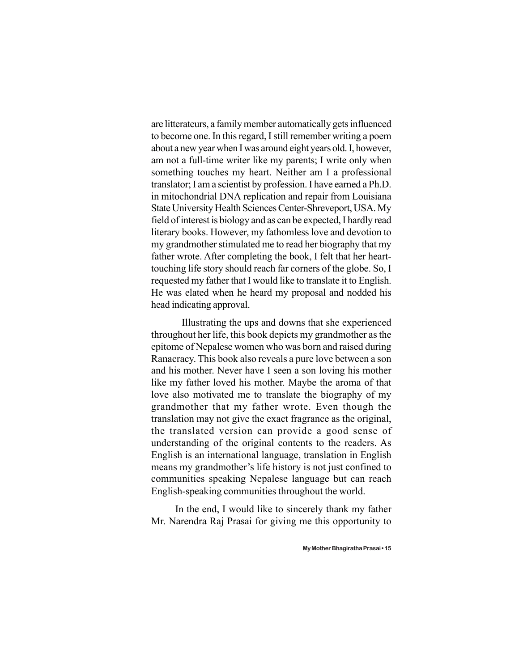are litterateurs, a family member automatically gets influenced to become one. In this regard, I still remember writing a poem about a new year when I was around eight years old. I, however, am not a full-time writer like my parents; I write only when something touches my heart. Neither am I a professional translator; I am a scientist by profession. I have earned a Ph.D. in mitochondrial DNA replication and repair from Louisiana State University Health Sciences Center-Shreveport, USA. My field of interest is biology and as can be expected, I hardly read literary books. However, my fathomless love and devotion to my grandmother stimulated me to read her biography that my father wrote. After completing the book, I felt that her hearttouching life story should reach far corners of the globe. So, I requested my father that I would like to translate it to English. He was elated when he heard my proposal and nodded his head indicating approval.

Illustrating the ups and downs that she experienced throughout her life, this book depicts my grandmother as the epitome of Nepalese women who was born and raised during Ranacracy. This book also reveals a pure love between a son and his mother. Never have I seen a son loving his mother like my father loved his mother. Maybe the aroma of that love also motivated me to translate the biography of my grandmother that my father wrote. Even though the translation may not give the exact fragrance as the original, the translated version can provide a good sense of understanding of the original contents to the readers. As English is an international language, translation in English means my grandmother's life history is not just confined to communities speaking Nepalese language but can reach English-speaking communities throughout the world.

In the end, I would like to sincerely thank my father Mr. Narendra Raj Prasai for giving me this opportunity to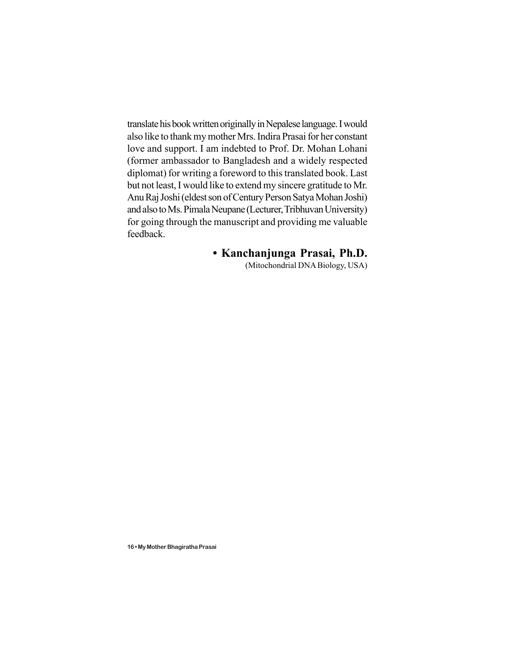translate his book written originally in Nepalese language. I would also like to thank my mother Mrs. Indira Prasai for her constant love and support. I am indebted to Prof. Dr. Mohan Lohani (former ambassador to Bangladesh and a widely respected diplomat) for writing a foreword to this translated book. Last but not least, I would like to extend my sincere gratitude to Mr. Anu Raj Joshi (eldest son of Century Person Satya Mohan Joshi) and also to Ms. Pimala Neupane (Lecturer, Tribhuvan University) for going through the manuscript and providing me valuable feedback.

#### **• Kanchanjunga Prasai, Ph.D.**

(Mitochondrial DNA Biology, USA)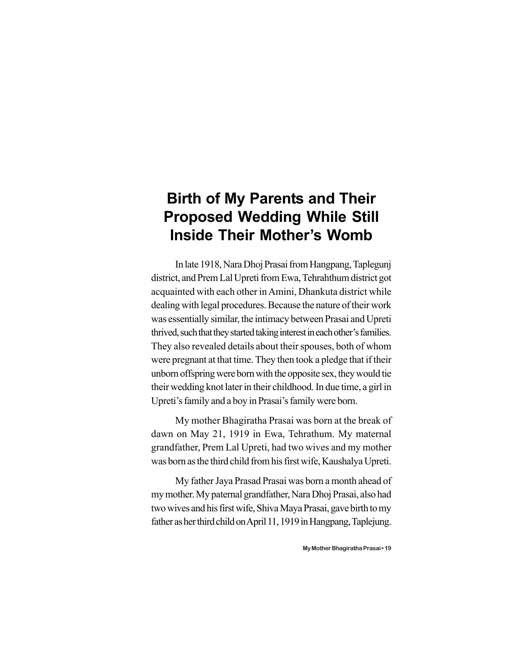### **Birth of My Parents and Their Proposed Wedding While Still Inside Their Mother's Womb**

In late 1918, Nara Dhoj Prasai from Hangpang, Taplegunj district, and Prem Lal Upreti from Ewa, Tehrahthum district got acquainted with each other in Amini, Dhankuta district while dealing with legal procedures. Because the nature of their work was essentially similar, the intimacy between Prasai and Upreti thrived, such that they started taking interest in each other's families. They also revealed details about their spouses, both of whom were pregnant at that time. They then took a pledge that if their unborn offspring were born with the opposite sex, they would tie their wedding knot later in their childhood. In due time, a girl in Upreti's family and a boy in Prasai's family were born.

My mother Bhagiratha Prasai was born at the break of dawn on May 21, 1919 in Ewa, Tehrathum. My maternal grandfather, Prem Lal Upreti, had two wives and my mother was born as the third child from his first wife, Kaushalya Upreti.

My father Jaya Prasad Prasai was born a month ahead of my mother. My paternal grandfather, Nara Dhoj Prasai, also had two wives and his first wife, Shiva Maya Prasai, gave birth to my father as her third child on April 11, 1919 in Hangpang, Taplejung.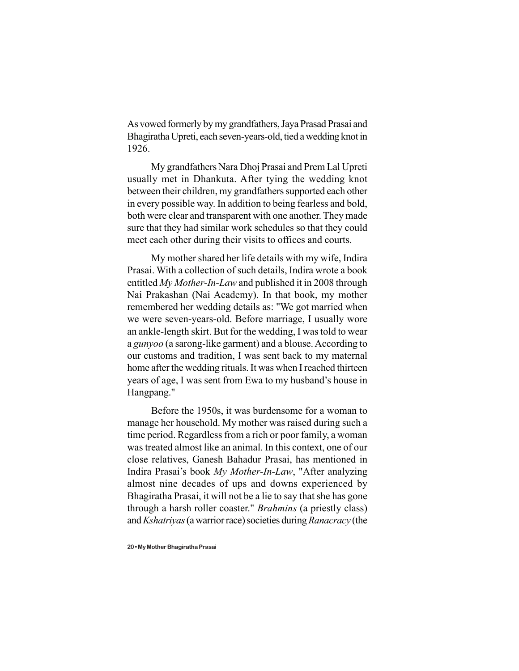As vowed formerly by my grandfathers, Jaya Prasad Prasai and Bhagiratha Upreti, each seven-years-old, tied a wedding knot in 1926.

My grandfathers Nara Dhoj Prasai and Prem Lal Upreti usually met in Dhankuta. After tying the wedding knot between their children, my grandfathers supported each other in every possible way. In addition to being fearless and bold, both were clear and transparent with one another. They made sure that they had similar work schedules so that they could meet each other during their visits to offices and courts.

My mother shared her life details with my wife, Indira Prasai. With a collection of such details, Indira wrote a book entitled *My Mother-In-Law* and published it in 2008 through Nai Prakashan (Nai Academy). In that book, my mother remembered her wedding details as: "We got married when we were seven-years-old. Before marriage, I usually wore an ankle-length skirt. But for the wedding, I was told to wear a *gunyoo* (a sarong-like garment) and a blouse. According to our customs and tradition, I was sent back to my maternal home after the wedding rituals. It was when I reached thirteen years of age, I was sent from Ewa to my husband's house in Hangpang."

Before the 1950s, it was burdensome for a woman to manage her household. My mother was raised during such a time period. Regardless from a rich or poor family, a woman was treated almost like an animal. In this context, one of our close relatives, Ganesh Bahadur Prasai, has mentioned in Indira Prasai's book *My Mother-In-Law*, "After analyzing almost nine decades of ups and downs experienced by Bhagiratha Prasai, it will not be a lie to say that she has gone through a harsh roller coaster." *Brahmins* (a priestly class) and *Kshatriyas* (a warrior race) societies during *Ranacracy* (the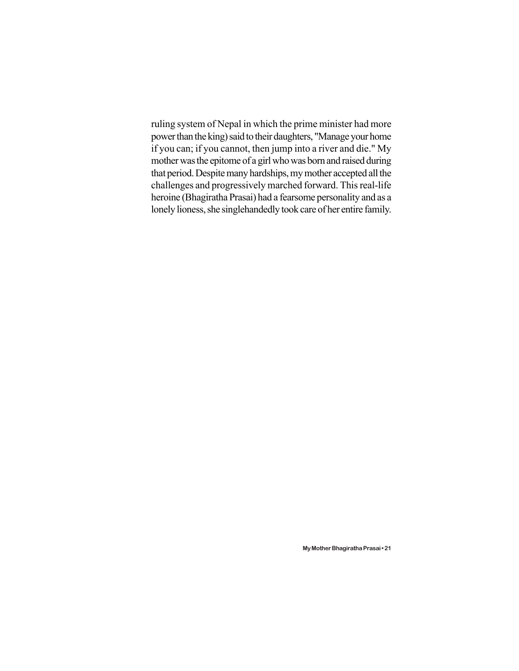ruling system of Nepal in which the prime minister had more power than the king) said to their daughters, "Manage your home if you can; if you cannot, then jump into a river and die." My mother was the epitome of a girl who was born and raised during that period. Despite many hardships, my mother accepted all the challenges and progressively marched forward. This real-life heroine (Bhagiratha Prasai) had a fearsome personality and as a lonely lioness, she singlehandedly took care of her entire family.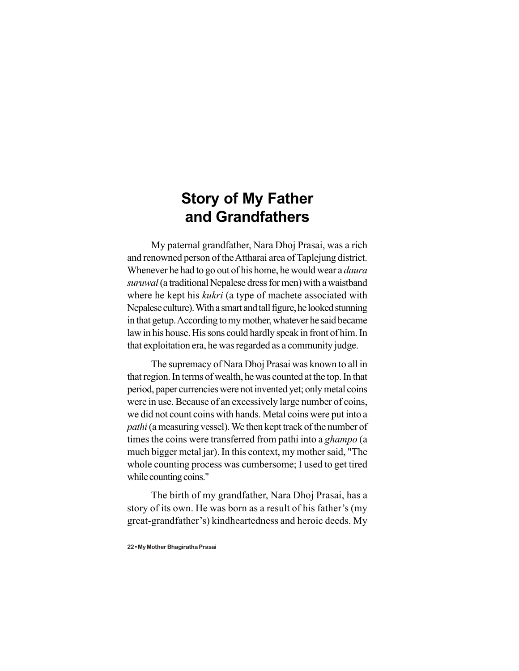### **Story of My Father and Grandfathers**

My paternal grandfather, Nara Dhoj Prasai, was a rich and renowned person of the Attharai area of Taplejung district. Whenever he had to go out of his home, he would wear a *daura suruwal* (a traditional Nepalese dress for men) with a waistband where he kept his *kukri* (a type of machete associated with Nepalese culture). With a smart and tall figure, he looked stunning in that getup. According to my mother, whatever he said became law in his house. His sons could hardly speak in front of him. In that exploitation era, he was regarded as a community judge.

The supremacy of Nara Dhoj Prasai was known to all in that region. In terms of wealth, he was counted at the top. In that period, paper currencies were not invented yet; only metal coins were in use. Because of an excessively large number of coins, we did not count coins with hands. Metal coins were put into a *pathi* (a measuring vessel). We then kept track of the number of times the coins were transferred from pathi into a *ghampo* (a much bigger metal jar). In this context, my mother said, "The whole counting process was cumbersome; I used to get tired while counting coins."

The birth of my grandfather, Nara Dhoj Prasai, has a story of its own. He was born as a result of his father's (my great-grandfather's) kindheartedness and heroic deeds. My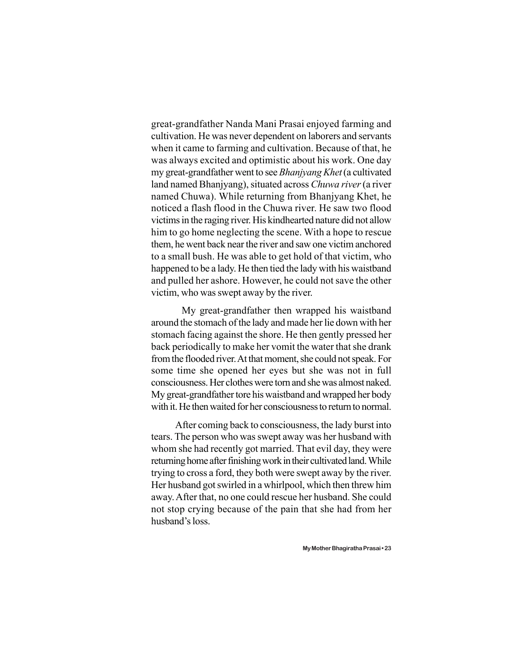great-grandfather Nanda Mani Prasai enjoyed farming and cultivation. He was never dependent on laborers and servants when it came to farming and cultivation. Because of that, he was always excited and optimistic about his work. One day my great-grandfather went to see *Bhanjyang Khet* (a cultivated land named Bhanjyang), situated across *Chuwa river* (a river named Chuwa). While returning from Bhanjyang Khet, he noticed a flash flood in the Chuwa river. He saw two flood victims in the raging river. His kindhearted nature did not allow him to go home neglecting the scene. With a hope to rescue them, he went back near the river and saw one victim anchored to a small bush. He was able to get hold of that victim, who happened to be a lady. He then tied the lady with his waistband and pulled her ashore. However, he could not save the other victim, who was swept away by the river.

My great-grandfather then wrapped his waistband around the stomach of the lady and made her lie down with her stomach facing against the shore. He then gently pressed her back periodically to make her vomit the water that she drank from the flooded river. At that moment, she could not speak. For some time she opened her eyes but she was not in full consciousness. Her clothes were torn and she was almost naked. My great-grandfather tore his waistband and wrapped her body with it. He then waited for her consciousness to return to normal.

After coming back to consciousness, the lady burst into tears. The person who was swept away was her husband with whom she had recently got married. That evil day, they were returning home after finishing work in their cultivated land. While trying to cross a ford, they both were swept away by the river. Her husband got swirled in a whirlpool, which then threw him away. After that, no one could rescue her husband. She could not stop crying because of the pain that she had from her husband's loss.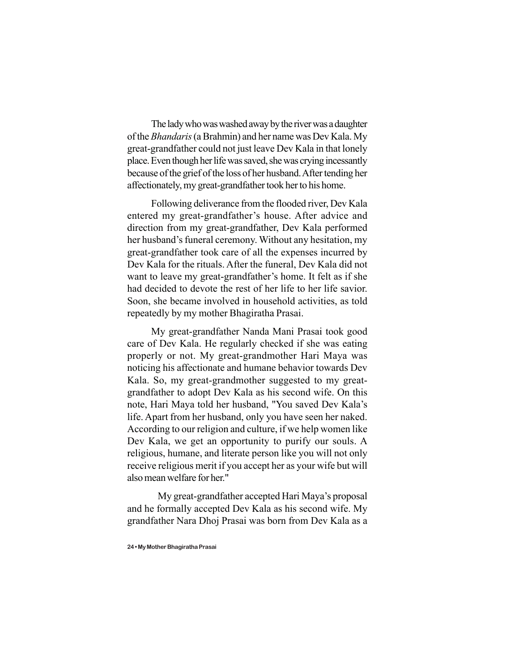The lady who was washed away by the river was a daughter of the *Bhandaris* (a Brahmin) and her name was Dev Kala. My great-grandfather could not just leave Dev Kala in that lonely place. Even though her life was saved, she was crying incessantly because of the grief of the loss of her husband. After tending her affectionately, my great-grandfather took her to his home.

Following deliverance from the flooded river, Dev Kala entered my great-grandfather's house. After advice and direction from my great-grandfather, Dev Kala performed her husband's funeral ceremony. Without any hesitation, my great-grandfather took care of all the expenses incurred by Dev Kala for the rituals. After the funeral, Dev Kala did not want to leave my great-grandfather's home. It felt as if she had decided to devote the rest of her life to her life savior. Soon, she became involved in household activities, as told repeatedly by my mother Bhagiratha Prasai.

My great-grandfather Nanda Mani Prasai took good care of Dev Kala. He regularly checked if she was eating properly or not. My great-grandmother Hari Maya was noticing his affectionate and humane behavior towards Dev Kala. So, my great-grandmother suggested to my greatgrandfather to adopt Dev Kala as his second wife. On this note, Hari Maya told her husband, "You saved Dev Kala's life. Apart from her husband, only you have seen her naked. According to our religion and culture, if we help women like Dev Kala, we get an opportunity to purify our souls. A religious, humane, and literate person like you will not only receive religious merit if you accept her as your wife but will also mean welfare for her."

My great-grandfather accepted Hari Maya's proposal and he formally accepted Dev Kala as his second wife. My grandfather Nara Dhoj Prasai was born from Dev Kala as a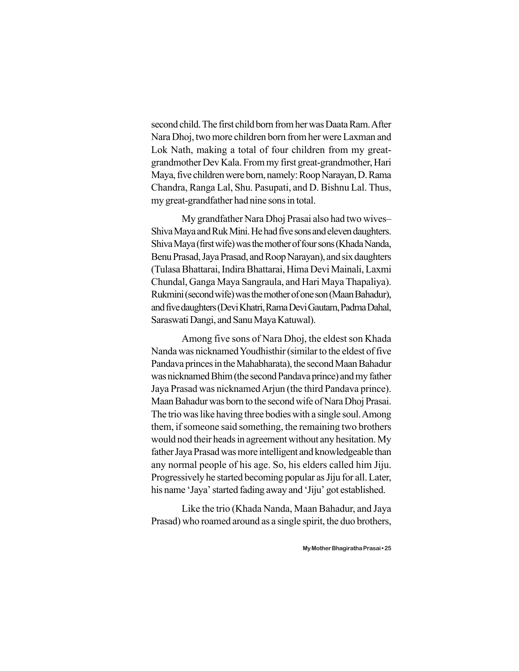second child. The first child born from her was Daata Ram. After Nara Dhoj, two more children born from her were Laxman and Lok Nath, making a total of four children from my greatgrandmother Dev Kala. From my first great-grandmother, Hari Maya, five children were born, namely: Roop Narayan, D. Rama Chandra, Ranga Lal, Shu. Pasupati, and D. Bishnu Lal. Thus, my great-grandfather had nine sons in total.

My grandfather Nara Dhoj Prasai also had two wives– Shiva Maya and Ruk Mini. He had five sons and eleven daughters. Shiva Maya (first wife) was the mother of four sons (Khada Nanda, Benu Prasad, Jaya Prasad, and Roop Narayan), and six daughters (Tulasa Bhattarai, Indira Bhattarai, Hima Devi Mainali, Laxmi Chundal, Ganga Maya Sangraula, and Hari Maya Thapaliya). Rukmini (second wife) was the mother of one son (Maan Bahadur), and five daughters (Devi Khatri, Rama Devi Gautam, Padma Dahal, Saraswati Dangi, and Sanu Maya Katuwal).

Among five sons of Nara Dhoj, the eldest son Khada Nanda was nicknamed Youdhisthir (similar to the eldest of five Pandava princes in the Mahabharata), the second Maan Bahadur was nicknamed Bhim (the second Pandava prince) and my father Jaya Prasad was nicknamed Arjun (the third Pandava prince). Maan Bahadur was born to the second wife of Nara Dhoj Prasai. The trio was like having three bodies with a single soul. Among them, if someone said something, the remaining two brothers would nod their heads in agreement without any hesitation. My father Jaya Prasad was more intelligent and knowledgeable than any normal people of his age. So, his elders called him Jiju. Progressively he started becoming popular as Jiju for all. Later, his name 'Jaya' started fading away and 'Jiju' got established.

Like the trio (Khada Nanda, Maan Bahadur, and Jaya Prasad) who roamed around as a single spirit, the duo brothers,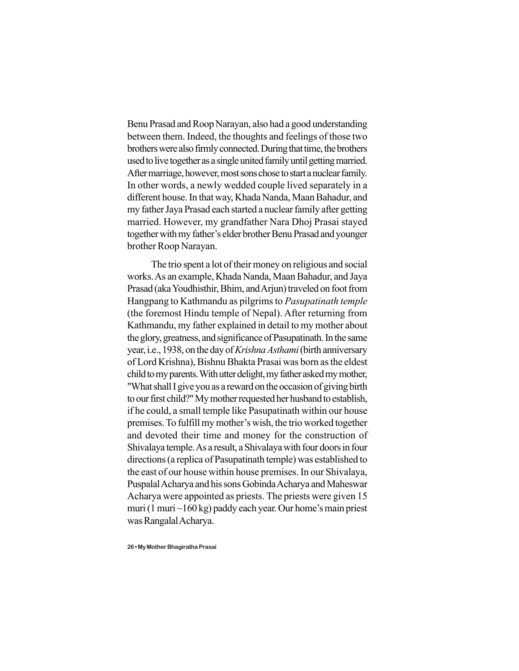Benu Prasad and Roop Narayan, also had a good understanding between them. Indeed, the thoughts and feelings of those two brothers were also firmly connected. During that time, the brothers used to live together as a single united family until getting married. After marriage, however, most sons chose to start a nuclear family. In other words, a newly wedded couple lived separately in a different house. In that way, Khada Nanda, Maan Bahadur, and my father Jaya Prasad each started a nuclear family after getting married. However, my grandfather Nara Dhoj Prasai stayed together with my father's elder brother Benu Prasad and younger brother Roop Narayan.

The trio spent a lot of their money on religious and social works. As an example, Khada Nanda, Maan Bahadur, and Jaya Prasad (aka Youdhisthir, Bhim, and Arjun) traveled on foot from Hangpang to Kathmandu as pilgrims to *Pasupatinath temple* (the foremost Hindu temple of Nepal). After returning from Kathmandu, my father explained in detail to my mother about the glory, greatness, and significance of Pasupatinath. In the same year, i.e., 1938, on the day of *Krishna Asthami* (birth anniversary of Lord Krishna), Bishnu Bhakta Prasai was born as the eldest child to my parents. With utter delight, my father asked my mother, "What shall I give you as a reward on the occasion of giving birth to our first child?" My mother requested her husband to establish, if he could, a small temple like Pasupatinath within our house premises. To fulfill my mother's wish, the trio worked together and devoted their time and money for the construction of Shivalaya temple. As a result, a Shivalaya with four doors in four directions (a replica of Pasupatinath temple) was established to the east of our house within house premises. In our Shivalaya, Puspalal Acharya and his sons Gobinda Acharya and Maheswar Acharya were appointed as priests. The priests were given 15 muri (1 muri  $\sim$ 160 kg) paddy each year. Our home's main priest was Rangalal Acharya.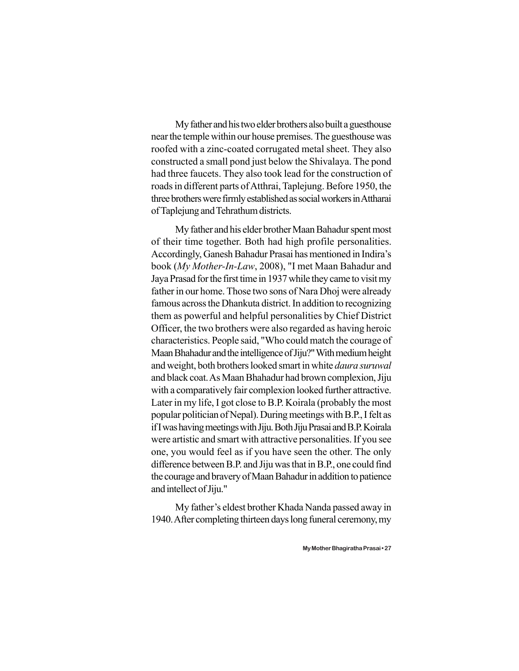My father and his two elder brothers also built a guesthouse near the temple within our house premises. The guesthouse was roofed with a zinc-coated corrugated metal sheet. They also constructed a small pond just below the Shivalaya. The pond had three faucets. They also took lead for the construction of roads in different parts of Atthrai, Taplejung. Before 1950, the three brothers were firmly established as social workers in Attharai of Taplejung and Tehrathum districts.

My father and his elder brother Maan Bahadur spent most of their time together. Both had high profile personalities. Accordingly, Ganesh Bahadur Prasai has mentioned in Indira's book (*My Mother-In-Law*, 2008), "I met Maan Bahadur and Jaya Prasad for the first time in 1937 while they came to visit my father in our home. Those two sons of Nara Dhoj were already famous across the Dhankuta district. In addition to recognizing them as powerful and helpful personalities by Chief District Officer, the two brothers were also regarded as having heroic characteristics. People said, "Who could match the courage of Maan Bhahadur and the intelligence of Jiju?" With medium height and weight, both brothers looked smart in white *daura suruwal* and black coat. As Maan Bhahadur had brown complexion, Jiju with a comparatively fair complexion looked further attractive. Later in my life, I got close to B.P. Koirala (probably the most popular politician of Nepal). During meetings with B.P., I felt as if I was having meetings with Jiju. Both Jiju Prasai and B.P. Koirala were artistic and smart with attractive personalities. If you see one, you would feel as if you have seen the other. The only difference between B.P. and Jiju was that in B.P., one could find the courage and bravery of Maan Bahadur in addition to patience and intellect of Jiju."

My father's eldest brother Khada Nanda passed away in 1940. After completing thirteen days long funeral ceremony, my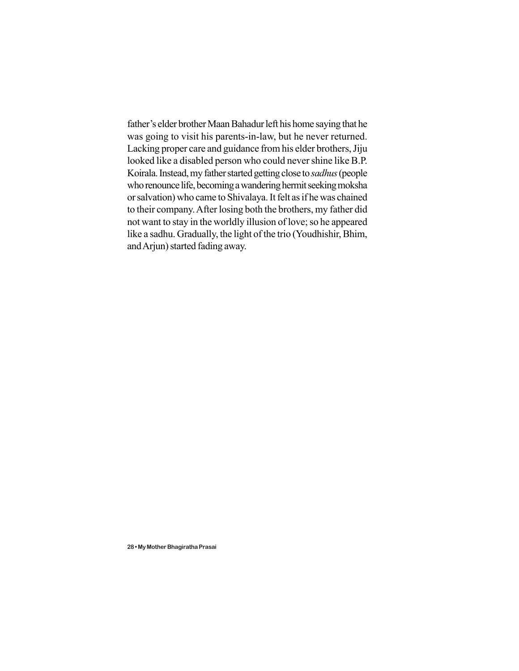father's elder brother Maan Bahadur left his home saying that he was going to visit his parents-in-law, but he never returned. Lacking proper care and guidance from his elder brothers, Jiju looked like a disabled person who could never shine like B.P. Koirala. Instead, my father started getting close to *sadhus* (people who renounce life, becoming a wandering hermit seeking moksha or salvation) who came to Shivalaya. It felt as if he was chained to their company. After losing both the brothers, my father did not want to stay in the worldly illusion of love; so he appeared like a sadhu. Gradually, the light of the trio (Youdhishir, Bhim, and Arjun) started fading away.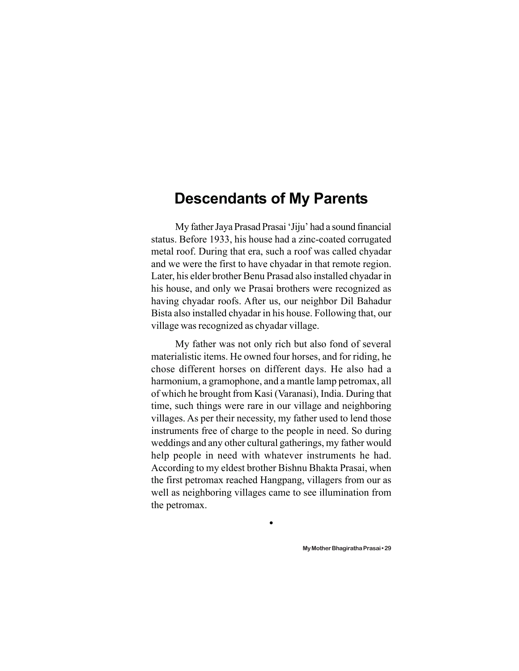### **Descendants of My Parents**

My father Jaya Prasad Prasai 'Jiju' had a sound financial status. Before 1933, his house had a zinc-coated corrugated metal roof. During that era, such a roof was called chyadar and we were the first to have chyadar in that remote region. Later, his elder brother Benu Prasad also installed chyadar in his house, and only we Prasai brothers were recognized as having chyadar roofs. After us, our neighbor Dil Bahadur Bista also installed chyadar in his house. Following that, our village was recognized as chyadar village.

My father was not only rich but also fond of several materialistic items. He owned four horses, and for riding, he chose different horses on different days. He also had a harmonium, a gramophone, and a mantle lamp petromax, all of which he brought from Kasi (Varanasi), India. During that time, such things were rare in our village and neighboring villages. As per their necessity, my father used to lend those instruments free of charge to the people in need. So during weddings and any other cultural gatherings, my father would help people in need with whatever instruments he had. According to my eldest brother Bishnu Bhakta Prasai, when the first petromax reached Hangpang, villagers from our as well as neighboring villages came to see illumination from the petromax.

 $\bullet$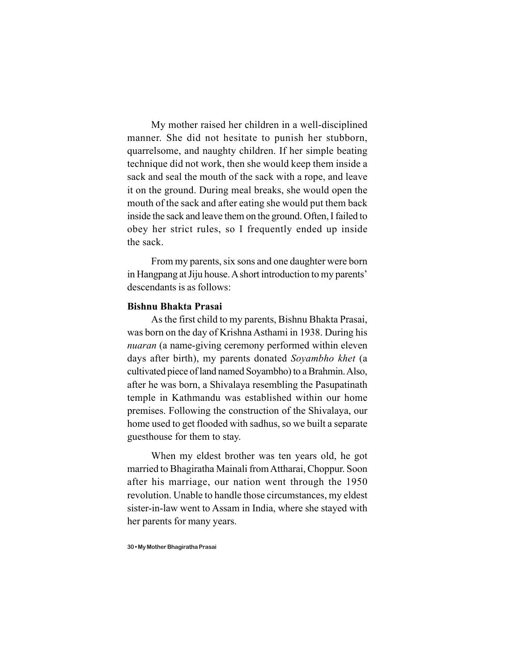My mother raised her children in a well-disciplined manner. She did not hesitate to punish her stubborn, quarrelsome, and naughty children. If her simple beating technique did not work, then she would keep them inside a sack and seal the mouth of the sack with a rope, and leave it on the ground. During meal breaks, she would open the mouth of the sack and after eating she would put them back inside the sack and leave them on the ground. Often, I failed to obey her strict rules, so I frequently ended up inside the sack.

From my parents, six sons and one daughter were born in Hangpang at Jiju house. A short introduction to my parents' descendants is as follows:

#### **Bishnu Bhakta Prasai**

As the first child to my parents, Bishnu Bhakta Prasai, was born on the day of Krishna Asthami in 1938. During his *nuaran* (a name-giving ceremony performed within eleven days after birth), my parents donated *Soyambho khet* (a cultivated piece of land named Soyambho) to a Brahmin. Also, after he was born, a Shivalaya resembling the Pasupatinath temple in Kathmandu was established within our home premises. Following the construction of the Shivalaya, our home used to get flooded with sadhus, so we built a separate guesthouse for them to stay.

When my eldest brother was ten years old, he got married to Bhagiratha Mainali from Attharai, Choppur. Soon after his marriage, our nation went through the 1950 revolution. Unable to handle those circumstances, my eldest sister-in-law went to Assam in India, where she stayed with her parents for many years.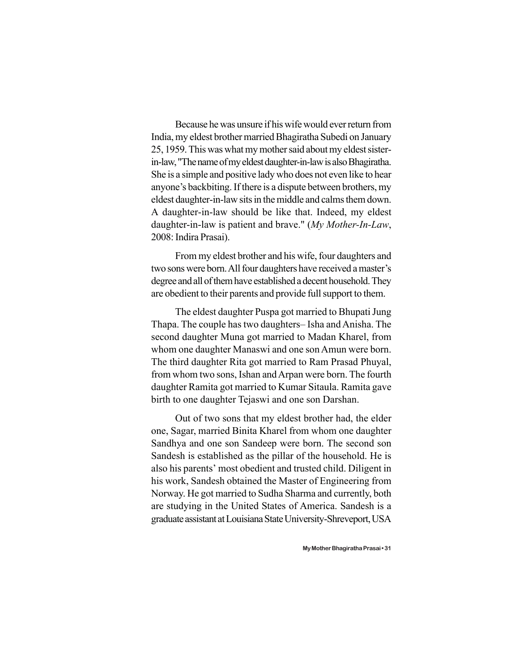Because he was unsure if his wife would ever return from India, my eldest brother married Bhagiratha Subedi on January 25, 1959. This was what my mother said about my eldest sisterin-law, "The name of my eldest daughter-in-law is also Bhagiratha. She is a simple and positive lady who does not even like to hear anyone's backbiting. If there is a dispute between brothers, my eldest daughter-in-law sits in the middle and calms them down. A daughter-in-law should be like that. Indeed, my eldest daughter-in-law is patient and brave." (*My Mother-In-Law*, 2008: Indira Prasai).

From my eldest brother and his wife, four daughters and two sons were born. All four daughters have received a master's degree and all of them have established a decent household. They are obedient to their parents and provide full support to them.

The eldest daughter Puspa got married to Bhupati Jung Thapa. The couple has two daughters– Isha and Anisha. The second daughter Muna got married to Madan Kharel, from whom one daughter Manaswi and one son Amun were born. The third daughter Rita got married to Ram Prasad Phuyal, from whom two sons, Ishan and Arpan were born. The fourth daughter Ramita got married to Kumar Sitaula. Ramita gave birth to one daughter Tejaswi and one son Darshan.

Out of two sons that my eldest brother had, the elder one, Sagar, married Binita Kharel from whom one daughter Sandhya and one son Sandeep were born. The second son Sandesh is established as the pillar of the household. He is also his parents' most obedient and trusted child. Diligent in his work, Sandesh obtained the Master of Engineering from Norway. He got married to Sudha Sharma and currently, both are studying in the United States of America. Sandesh is a graduate assistant at Louisiana State University-Shreveport, USA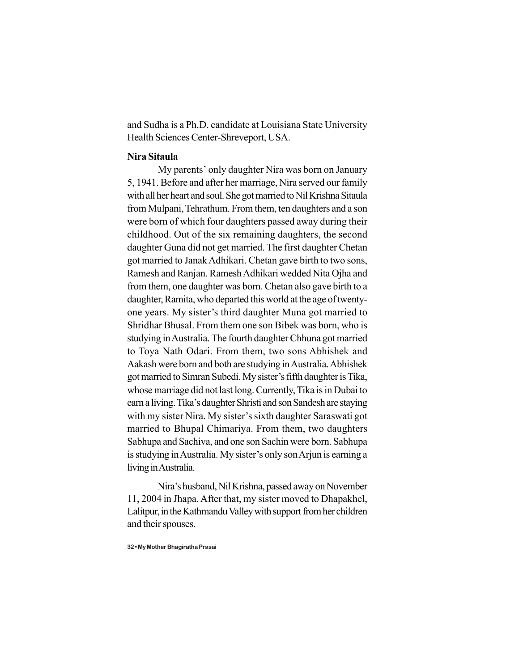and Sudha is a Ph.D. candidate at Louisiana State University Health Sciences Center-Shreveport, USA.

#### **Nira Sitaula**

My parents' only daughter Nira was born on January 5, 1941. Before and after her marriage, Nira served our family with all her heart and soul. She got married to Nil Krishna Sitaula from Mulpani, Tehrathum. From them, ten daughters and a son were born of which four daughters passed away during their childhood. Out of the six remaining daughters, the second daughter Guna did not get married. The first daughter Chetan got married to Janak Adhikari. Chetan gave birth to two sons, Ramesh and Ranjan. Ramesh Adhikari wedded Nita Ojha and from them, one daughter was born. Chetan also gave birth to a daughter, Ramita, who departed this world at the age of twentyone years. My sister's third daughter Muna got married to Shridhar Bhusal. From them one son Bibek was born, who is studying in Australia. The fourth daughter Chhuna got married to Toya Nath Odari. From them, two sons Abhishek and Aakash were born and both are studying in Australia. Abhishek got married to Simran Subedi. My sister's fifth daughter is Tika, whose marriage did not last long. Currently, Tika is in Dubai to earn a living. Tika's daughter Shristi and son Sandesh are staying with my sister Nira. My sister's sixth daughter Saraswati got married to Bhupal Chimariya. From them, two daughters Sabhupa and Sachiva, and one son Sachin were born. Sabhupa is studying in Australia. My sister's only son Arjun is earning a living in Australia.

Nira's husband, Nil Krishna, passed away on November 11, 2004 in Jhapa. After that, my sister moved to Dhapakhel, Lalitpur, in the Kathmandu Valley with support from her children and their spouses.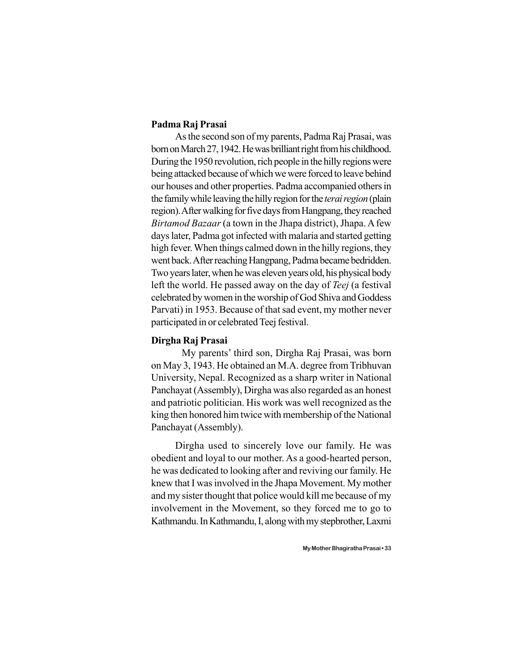#### **Padma Raj Prasai**

As the second son of my parents, Padma Raj Prasai, was born on March 27, 1942. He was brilliant right from his childhood. During the 1950 revolution, rich people in the hilly regions were being attacked because of which we were forced to leave behind our houses and other properties. Padma accompanied others in the family while leaving the hilly region for the *terai region* (plain region). After walking for five days from Hangpang, they reached *Birtamod Bazaar* (a town in the Jhapa district), Jhapa. A few days later, Padma got infected with malaria and started getting high fever. When things calmed down in the hilly regions, they went back. After reaching Hangpang, Padma became bedridden. Two years later, when he was eleven years old, his physical body left the world. He passed away on the day of *Teej* (a festival celebrated by women in the worship of God Shiva and Goddess Parvati) in 1953. Because of that sad event, my mother never participated in or celebrated Teej festival.

#### **Dirgha Raj Prasai**

My parents' third son, Dirgha Raj Prasai, was born on May 3, 1943. He obtained an M.A. degree from Tribhuvan University, Nepal. Recognized as a sharp writer in National Panchayat (Assembly), Dirgha was also regarded as an honest and patriotic politician. His work was well recognized as the king then honored him twice with membership of the National Panchayat (Assembly).

Dirgha used to sincerely love our family. He was obedient and loyal to our mother. As a good-hearted person, he was dedicated to looking after and reviving our family. He knew that I was involved in the Jhapa Movement. My mother and my sister thought that police would kill me because of my involvement in the Movement, so they forced me to go to Kathmandu. In Kathmandu, I, along with my stepbrother, Laxmi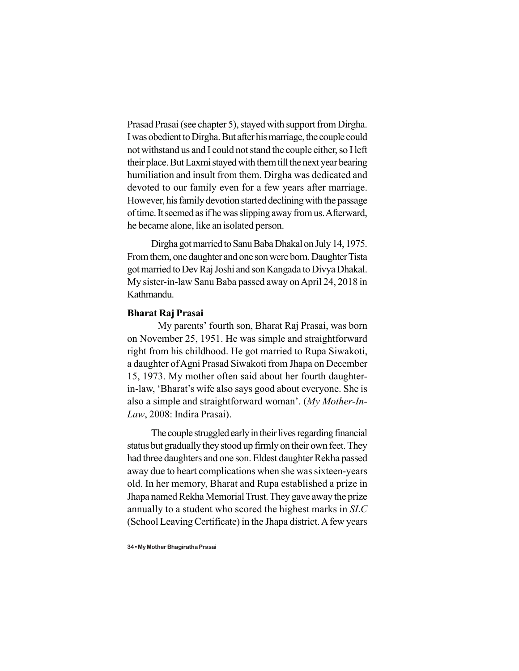Prasad Prasai (see chapter 5), stayed with support from Dirgha. I was obedient to Dirgha. But after his marriage, the couple could not withstand us and I could not stand the couple either, so I left their place. But Laxmi stayed with them till the next year bearing humiliation and insult from them. Dirgha was dedicated and devoted to our family even for a few years after marriage. However, his family devotion started declining with the passage of time. It seemed as if he was slipping away from us. Afterward, he became alone, like an isolated person.

Dirgha got married to Sanu Baba Dhakal on July 14, 1975. From them, one daughter and one son were born. Daughter Tista got married to Dev Raj Joshi and son Kangada to Divya Dhakal. My sister-in-law Sanu Baba passed away on April 24, 2018 in Kathmandu.

#### **Bharat Raj Prasai**

My parents' fourth son, Bharat Raj Prasai, was born on November 25, 1951. He was simple and straightforward right from his childhood. He got married to Rupa Siwakoti, a daughter of Agni Prasad Siwakoti from Jhapa on December 15, 1973. My mother often said about her fourth daughterin-law, 'Bharat's wife also says good about everyone. She is also a simple and straightforward woman'. (*My Mother-In-Law*, 2008: Indira Prasai).

The couple struggled early in their lives regarding financial status but gradually they stood up firmly on their own feet. They had three daughters and one son. Eldest daughter Rekha passed away due to heart complications when she was sixteen-years old. In her memory, Bharat and Rupa established a prize in Jhapa named Rekha Memorial Trust. They gave away the prize annually to a student who scored the highest marks in *SLC* (School Leaving Certificate) in the Jhapa district. A few years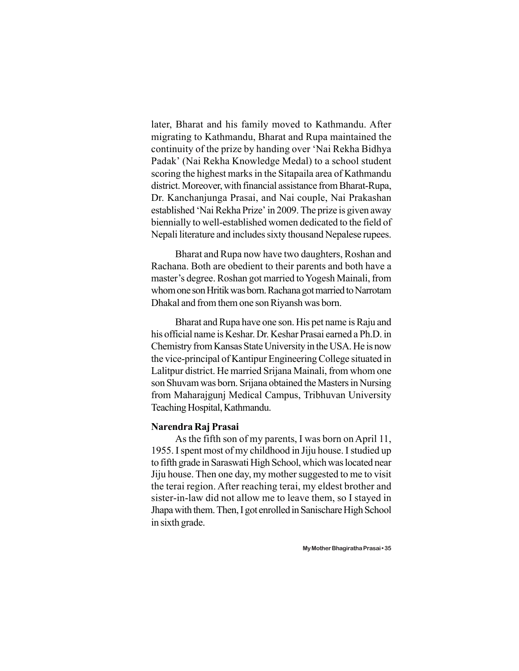later, Bharat and his family moved to Kathmandu. After migrating to Kathmandu, Bharat and Rupa maintained the continuity of the prize by handing over 'Nai Rekha Bidhya Padak' (Nai Rekha Knowledge Medal) to a school student scoring the highest marks in the Sitapaila area of Kathmandu district. Moreover, with financial assistance from Bharat-Rupa, Dr. Kanchanjunga Prasai, and Nai couple, Nai Prakashan established 'Nai Rekha Prize' in 2009. The prize is given away biennially to well-established women dedicated to the field of Nepali literature and includes sixty thousand Nepalese rupees.

Bharat and Rupa now have two daughters, Roshan and Rachana. Both are obedient to their parents and both have a master's degree. Roshan got married to Yogesh Mainali, from whom one son Hritik was born. Rachana got married to Narrotam Dhakal and from them one son Riyansh was born.

Bharat and Rupa have one son. His pet name is Raju and his official name is Keshar. Dr. Keshar Prasai earned a Ph.D. in Chemistry from Kansas State University in the USA. He is now the vice-principal of Kantipur Engineering College situated in Lalitpur district. He married Srijana Mainali, from whom one son Shuvam was born. Srijana obtained the Masters in Nursing from Maharajgunj Medical Campus, Tribhuvan University Teaching Hospital, Kathmandu.

#### **Narendra Raj Prasai**

As the fifth son of my parents, I was born on April 11, 1955. I spent most of my childhood in Jiju house. I studied up to fifth grade in Saraswati High School, which was located near Jiju house. Then one day, my mother suggested to me to visit the terai region. After reaching terai, my eldest brother and sister-in-law did not allow me to leave them, so I stayed in Jhapa with them. Then, I got enrolled in Sanischare High School in sixth grade.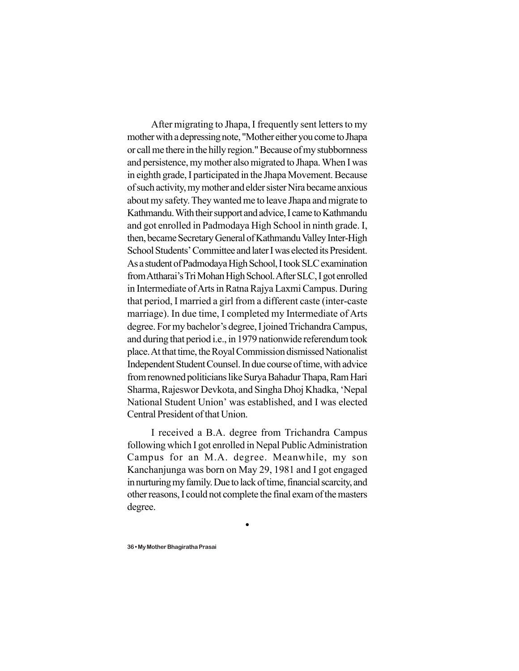After migrating to Jhapa, I frequently sent letters to my mother with a depressing note, "Mother either you come to Jhapa or call me there in the hilly region." Because of my stubbornness and persistence, my mother also migrated to Jhapa. When I was in eighth grade, I participated in the Jhapa Movement. Because of such activity, my mother and elder sister Nira became anxious about my safety. They wanted me to leave Jhapa and migrate to Kathmandu. With their support and advice, I came to Kathmandu and got enrolled in Padmodaya High School in ninth grade. I, then, became Secretary General of Kathmandu Valley Inter-High School Students' Committee and later I was elected its President. As a student of Padmodaya High School, I took SLC examination from Attharai's Tri Mohan High School. After SLC, I got enrolled in Intermediate of Arts in Ratna Rajya Laxmi Campus. During that period, I married a girl from a different caste (inter-caste marriage). In due time, I completed my Intermediate of Arts degree. For my bachelor's degree, I joined Trichandra Campus, and during that period i.e., in 1979 nationwide referendum took place. At that time, the Royal Commission dismissed Nationalist Independent Student Counsel. In due course of time, with advice from renowned politicians like Surya Bahadur Thapa, Ram Hari Sharma, Rajeswor Devkota, and Singha Dhoj Khadka, 'Nepal National Student Union' was established, and I was elected Central President of that Union.

I received a B.A. degree from Trichandra Campus following which I got enrolled in Nepal Public Administration Campus for an M.A. degree. Meanwhile, my son Kanchanjunga was born on May 29, 1981 and I got engaged in nurturing my family. Due to lack of time, financial scarcity, and other reasons, I could not complete the final exam of the masters degree.

 $\bullet$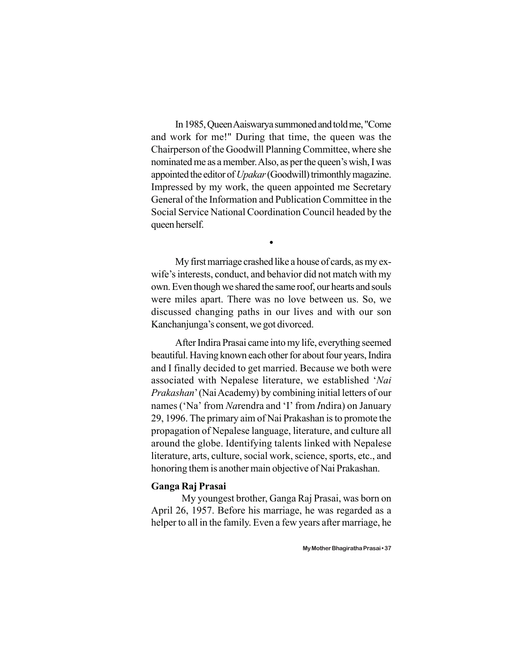In 1985, Queen Aaiswarya summoned and told me, "Come and work for me!" During that time, the queen was the Chairperson of the Goodwill Planning Committee, where she nominated me as a member. Also, as per the queen's wish, I was appointed the editor of *Upakar* (Goodwill) trimonthly magazine. Impressed by my work, the queen appointed me Secretary General of the Information and Publication Committee in the Social Service National Coordination Council headed by the queen herself.

 $\bullet$ 

My first marriage crashed like a house of cards, as my exwife's interests, conduct, and behavior did not match with my own. Even though we shared the same roof, our hearts and souls were miles apart. There was no love between us. So, we discussed changing paths in our lives and with our son Kanchanjunga's consent, we got divorced.

After Indira Prasai came into my life, everything seemed beautiful. Having known each other for about four years, Indira and I finally decided to get married. Because we both were associated with Nepalese literature, we established '*Nai Prakashan*' (Nai Academy) by combining initial letters of our names ('Na' from *Na*rendra and 'I' from *I*ndira) on January 29, 1996. The primary aim of Nai Prakashan is to promote the propagation of Nepalese language, literature, and culture all around the globe. Identifying talents linked with Nepalese literature, arts, culture, social work, science, sports, etc., and honoring them is another main objective of Nai Prakashan.

#### **Ganga Raj Prasai**

My youngest brother, Ganga Raj Prasai, was born on April 26, 1957. Before his marriage, he was regarded as a helper to all in the family. Even a few years after marriage, he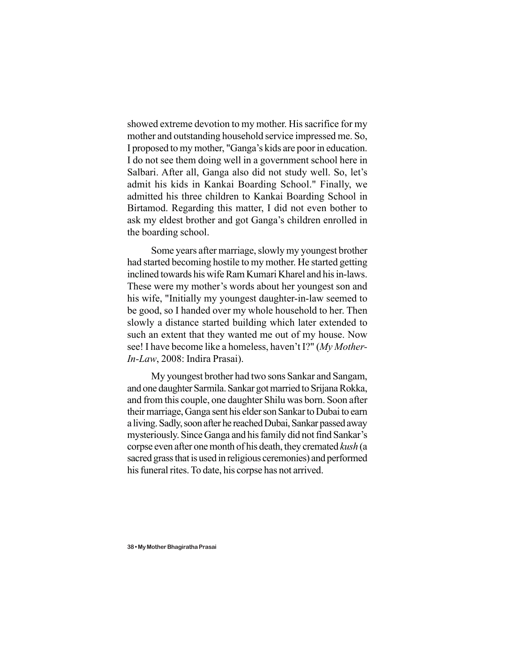showed extreme devotion to my mother. His sacrifice for my mother and outstanding household service impressed me. So, I proposed to my mother, "Ganga's kids are poor in education. I do not see them doing well in a government school here in Salbari. After all, Ganga also did not study well. So, let's admit his kids in Kankai Boarding School." Finally, we admitted his three children to Kankai Boarding School in Birtamod. Regarding this matter, I did not even bother to ask my eldest brother and got Ganga's children enrolled in the boarding school.

Some years after marriage, slowly my youngest brother had started becoming hostile to my mother. He started getting inclined towards his wife Ram Kumari Kharel and his in-laws. These were my mother's words about her youngest son and his wife, "Initially my youngest daughter-in-law seemed to be good, so I handed over my whole household to her. Then slowly a distance started building which later extended to such an extent that they wanted me out of my house. Now see! I have become like a homeless, haven't I?" (*My Mother-In-Law*, 2008: Indira Prasai).

My youngest brother had two sons Sankar and Sangam, and one daughter Sarmila. Sankar got married to Srijana Rokka, and from this couple, one daughter Shilu was born. Soon after their marriage, Ganga sent his elder son Sankar to Dubai to earn a living. Sadly, soon after he reached Dubai, Sankar passed away mysteriously. Since Ganga and his family did not find Sankar's corpse even after one month of his death, they cremated *kush* (a sacred grass that is used in religious ceremonies) and performed his funeral rites. To date, his corpse has not arrived.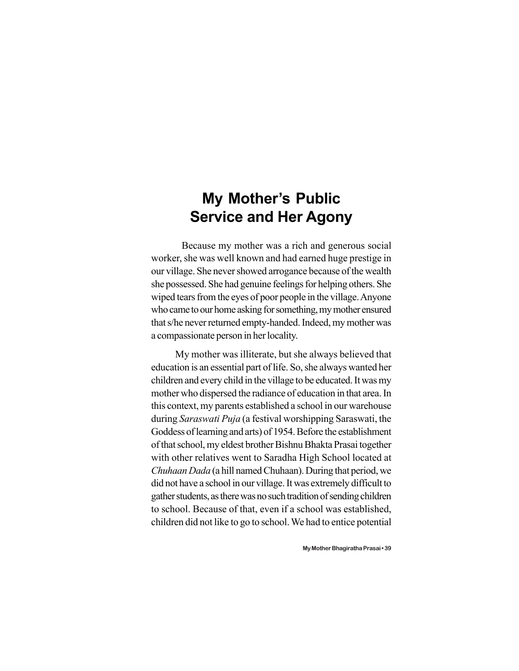# **My Mother's Public Service and Her Agony**

Because my mother was a rich and generous social worker, she was well known and had earned huge prestige in our village. She never showed arrogance because of the wealth she possessed. She had genuine feelings for helping others. She wiped tears from the eyes of poor people in the village. Anyone who came to our home asking for something, my mother ensured that s/he never returned empty-handed. Indeed, my mother was a compassionate person in her locality.

My mother was illiterate, but she always believed that education is an essential part of life. So, she always wanted her children and every child in the village to be educated. It was my mother who dispersed the radiance of education in that area. In this context, my parents established a school in our warehouse during *Saraswati Puja* (a festival worshipping Saraswati, the Goddess of learning and arts) of 1954. Before the establishment of that school, my eldest brother Bishnu Bhakta Prasai together with other relatives went to Saradha High School located at *Chuhaan Dada* (a hill named Chuhaan). During that period, we did not have a school in our village. It was extremely difficult to gather students, as there was no such tradition of sending children to school. Because of that, even if a school was established, children did not like to go to school. We had to entice potential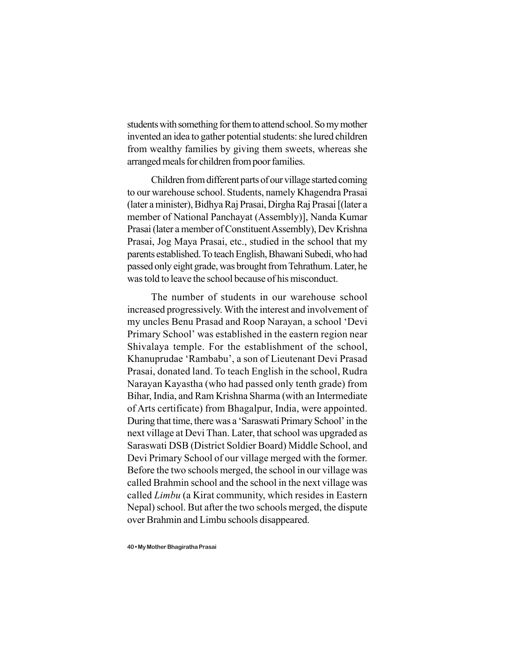students with something for them to attend school. So my mother invented an idea to gather potential students: she lured children from wealthy families by giving them sweets, whereas she arranged meals for children from poor families.

Children from different parts of our village started coming to our warehouse school. Students, namely Khagendra Prasai (later a minister), Bidhya Raj Prasai, Dirgha Raj Prasai [(later a member of National Panchayat (Assembly)], Nanda Kumar Prasai (later a member of Constituent Assembly), Dev Krishna Prasai, Jog Maya Prasai, etc., studied in the school that my parents established. To teach English, Bhawani Subedi, who had passed only eight grade, was brought from Tehrathum. Later, he was told to leave the school because of his misconduct.

The number of students in our warehouse school increased progressively. With the interest and involvement of my uncles Benu Prasad and Roop Narayan, a school 'Devi Primary School' was established in the eastern region near Shivalaya temple. For the establishment of the school, Khanuprudae 'Rambabu', a son of Lieutenant Devi Prasad Prasai, donated land. To teach English in the school, Rudra Narayan Kayastha (who had passed only tenth grade) from Bihar, India, and Ram Krishna Sharma (with an Intermediate of Arts certificate) from Bhagalpur, India, were appointed. During that time, there was a 'Saraswati Primary School' in the next village at Devi Than. Later, that school was upgraded as Saraswati DSB (District Soldier Board) Middle School, and Devi Primary School of our village merged with the former. Before the two schools merged, the school in our village was called Brahmin school and the school in the next village was called *Limbu* (a Kirat community, which resides in Eastern Nepal) school. But after the two schools merged, the dispute over Brahmin and Limbu schools disappeared.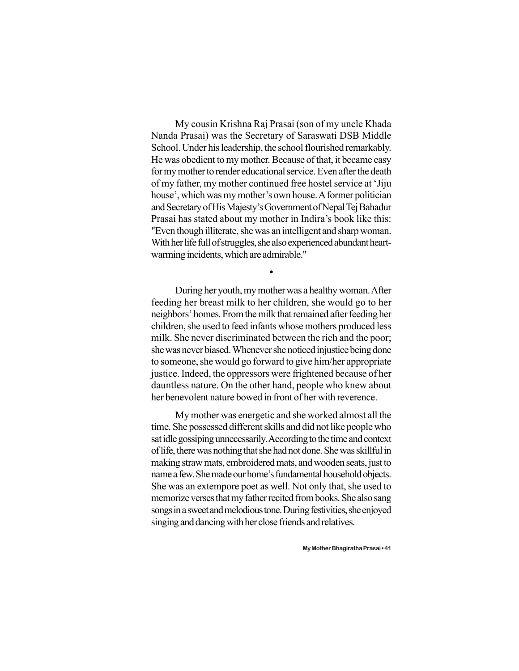My cousin Krishna Raj Prasai (son of my uncle Khada Nanda Prasai) was the Secretary of Saraswati DSB Middle School. Under his leadership, the school flourished remarkably. He was obedient to my mother. Because of that, it became easy for my mother to render educational service. Even after the death of my father, my mother continued free hostel service at 'Jiju house', which was my mother's own house. A former politician and Secretary of His Majesty's Government of Nepal Tej Bahadur Prasai has stated about my mother in Indira's book like this: "Even though illiterate, she was an intelligent and sharp woman. With her life full of struggles, she also experienced abundant heartwarming incidents, which are admirable."

During her youth, my mother was a healthy woman. After feeding her breast milk to her children, she would go to her neighbors' homes. From the milk that remained after feeding her children, she used to feed infants whose mothers produced less milk. She never discriminated between the rich and the poor; she was never biased. Whenever she noticed injustice being done to someone, she would go forward to give him/her appropriate justice. Indeed, the oppressors were frightened because of her dauntless nature. On the other hand, people who knew about her benevolent nature bowed in front of her with reverence.

 $\bullet$ 

My mother was energetic and she worked almost all the time. She possessed different skills and did not like people who sat idle gossiping unnecessarily. According to the time and context of life, there was nothing that she had not done. She was skillful in making straw mats, embroidered mats, and wooden seats, just to name a few. She made our home's fundamental household objects. She was an extempore poet as well. Not only that, she used to memorize verses that my father recited from books. She also sang songs in a sweet and melodious tone. During festivities, she enjoyed singing and dancing with her close friends and relatives.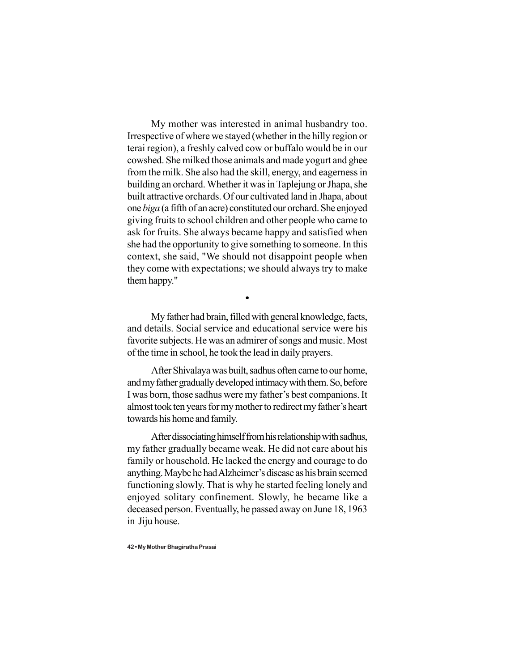My mother was interested in animal husbandry too. Irrespective of where we stayed (whether in the hilly region or terai region), a freshly calved cow or buffalo would be in our cowshed. She milked those animals and made yogurt and ghee from the milk. She also had the skill, energy, and eagerness in building an orchard. Whether it was in Taplejung or Jhapa, she built attractive orchards. Of our cultivated land in Jhapa, about one *biga* (a fifth of an acre) constituted our orchard. She enjoyed giving fruits to school children and other people who came to ask for fruits. She always became happy and satisfied when she had the opportunity to give something to someone. In this context, she said, "We should not disappoint people when they come with expectations; we should always try to make them happy."

 $\bullet$ 

My father had brain, filled with general knowledge, facts, and details. Social service and educational service were his favorite subjects. He was an admirer of songs and music. Most of the time in school, he took the lead in daily prayers.

After Shivalaya was built, sadhus often came to our home, and my father gradually developed intimacy with them. So, before I was born, those sadhus were my father's best companions. It almost took ten years for my mother to redirect my father's heart towards his home and family.

After dissociating himself from his relationship with sadhus, my father gradually became weak. He did not care about his family or household. He lacked the energy and courage to do anything. Maybe he had Alzheimer's disease as his brain seemed functioning slowly. That is why he started feeling lonely and enjoyed solitary confinement. Slowly, he became like a deceased person. Eventually, he passed away on June 18, 1963 in Jiju house.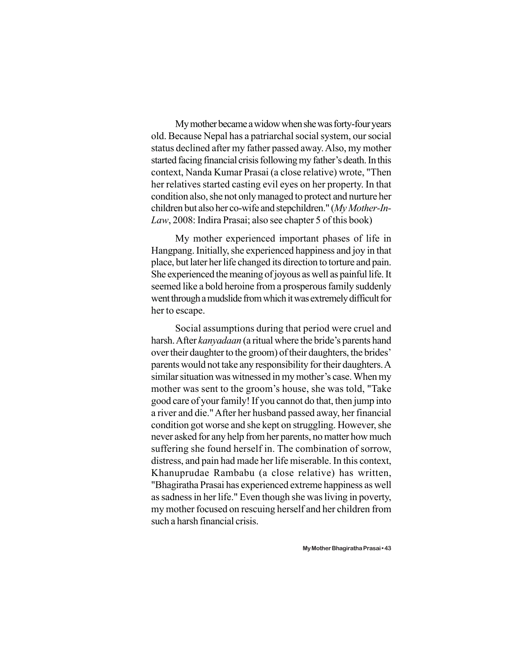My mother became a widow when she was forty-four years old. Because Nepal has a patriarchal social system, our social status declined after my father passed away. Also, my mother started facing financial crisis following my father's death. In this context, Nanda Kumar Prasai (a close relative) wrote, "Then her relatives started casting evil eyes on her property. In that condition also, she not only managed to protect and nurture her children but also her co-wife and stepchildren." (*My Mother-In-Law*, 2008: Indira Prasai; also see chapter 5 of this book)

My mother experienced important phases of life in Hangpang. Initially, she experienced happiness and joy in that place, but later her life changed its direction to torture and pain. She experienced the meaning of joyous as well as painful life. It seemed like a bold heroine from a prosperous family suddenly went through a mudslide from which it was extremely difficult for her to escape.

Social assumptions during that period were cruel and harsh. After *kanyadaan* (a ritual where the bride's parents hand over their daughter to the groom) of their daughters, the brides' parents would not take any responsibility for their daughters. A similar situation was witnessed in my mother's case. When my mother was sent to the groom's house, she was told, "Take good care of your family! If you cannot do that, then jump into a river and die." After her husband passed away, her financial condition got worse and she kept on struggling. However, she never asked for any help from her parents, no matter how much suffering she found herself in. The combination of sorrow, distress, and pain had made her life miserable. In this context, Khanuprudae Rambabu (a close relative) has written, "Bhagiratha Prasai has experienced extreme happiness as well as sadness in her life." Even though she was living in poverty, my mother focused on rescuing herself and her children from such a harsh financial crisis.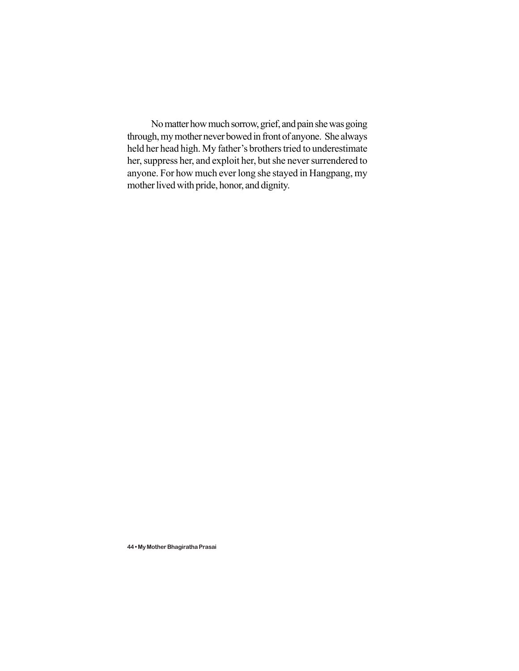No matter how much sorrow, grief, and pain she was going through, my mother never bowed in front of anyone. She always held her head high. My father's brothers tried to underestimate her, suppress her, and exploit her, but she never surrendered to anyone. For how much ever long she stayed in Hangpang, my mother lived with pride, honor, and dignity.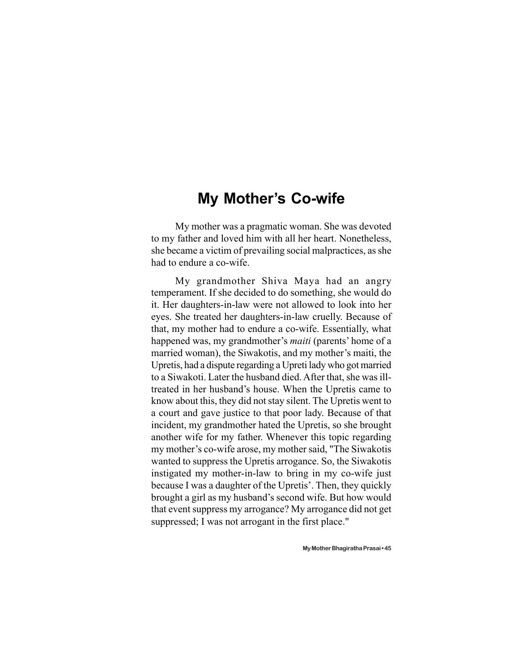#### **My Mother's Co-wife**

My mother was a pragmatic woman. She was devoted to my father and loved him with all her heart. Nonetheless, she became a victim of prevailing social malpractices, as she had to endure a co-wife.

My grandmother Shiva Maya had an angry temperament. If she decided to do something, she would do it. Her daughters-in-law were not allowed to look into her eyes. She treated her daughters-in-law cruelly. Because of that, my mother had to endure a co-wife. Essentially, what happened was, my grandmother's *maiti* (parents' home of a married woman), the Siwakotis, and my mother's maiti, the Upretis, had a dispute regarding a Upreti lady who got married to a Siwakoti. Later the husband died. After that, she was illtreated in her husband's house. When the Upretis came to know about this, they did not stay silent. The Upretis went to a court and gave justice to that poor lady. Because of that incident, my grandmother hated the Upretis, so she brought another wife for my father. Whenever this topic regarding my mother's co-wife arose, my mother said, "The Siwakotis wanted to suppress the Upretis arrogance. So, the Siwakotis instigated my mother-in-law to bring in my co-wife just because I was a daughter of the Upretis'. Then, they quickly brought a girl as my husband's second wife. But how would that event suppress my arrogance? My arrogance did not get suppressed; I was not arrogant in the first place."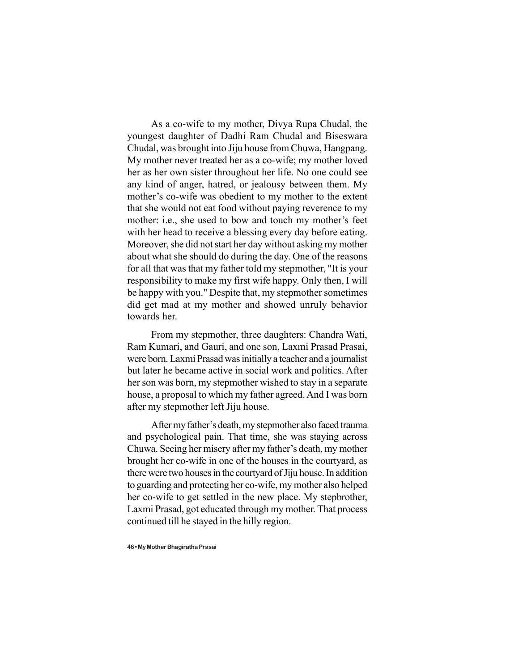As a co-wife to my mother, Divya Rupa Chudal, the youngest daughter of Dadhi Ram Chudal and Biseswara Chudal, was brought into Jiju house from Chuwa, Hangpang. My mother never treated her as a co-wife; my mother loved her as her own sister throughout her life. No one could see any kind of anger, hatred, or jealousy between them. My mother's co-wife was obedient to my mother to the extent that she would not eat food without paying reverence to my mother: i.e., she used to bow and touch my mother's feet with her head to receive a blessing every day before eating. Moreover, she did not start her day without asking my mother about what she should do during the day. One of the reasons for all that was that my father told my stepmother, "It is your responsibility to make my first wife happy. Only then, I will be happy with you." Despite that, my stepmother sometimes did get mad at my mother and showed unruly behavior towards her.

From my stepmother, three daughters: Chandra Wati, Ram Kumari, and Gauri, and one son, Laxmi Prasad Prasai, were born. Laxmi Prasad was initially a teacher and a journalist but later he became active in social work and politics. After her son was born, my stepmother wished to stay in a separate house, a proposal to which my father agreed. And I was born after my stepmother left Jiju house.

After my father's death, my stepmother also faced trauma and psychological pain. That time, she was staying across Chuwa. Seeing her misery after my father's death, my mother brought her co-wife in one of the houses in the courtyard, as there were two houses in the courtyard of Jiju house. In addition to guarding and protecting her co-wife, my mother also helped her co-wife to get settled in the new place. My stepbrother, Laxmi Prasad, got educated through my mother. That process continued till he stayed in the hilly region.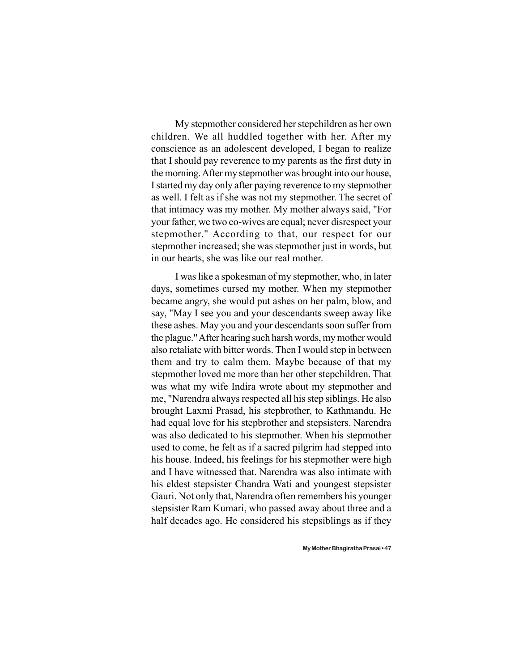My stepmother considered her stepchildren as her own children. We all huddled together with her. After my conscience as an adolescent developed, I began to realize that I should pay reverence to my parents as the first duty in the morning. After my stepmother was brought into our house, I started my day only after paying reverence to my stepmother as well. I felt as if she was not my stepmother. The secret of that intimacy was my mother. My mother always said, "For your father, we two co-wives are equal; never disrespect your stepmother." According to that, our respect for our stepmother increased; she was stepmother just in words, but in our hearts, she was like our real mother.

I was like a spokesman of my stepmother, who, in later days, sometimes cursed my mother. When my stepmother became angry, she would put ashes on her palm, blow, and say, "May I see you and your descendants sweep away like these ashes. May you and your descendants soon suffer from the plague." After hearing such harsh words, my mother would also retaliate with bitter words. Then I would step in between them and try to calm them. Maybe because of that my stepmother loved me more than her other stepchildren. That was what my wife Indira wrote about my stepmother and me, "Narendra always respected all his step siblings. He also brought Laxmi Prasad, his stepbrother, to Kathmandu. He had equal love for his stepbrother and stepsisters. Narendra was also dedicated to his stepmother. When his stepmother used to come, he felt as if a sacred pilgrim had stepped into his house. Indeed, his feelings for his stepmother were high and I have witnessed that. Narendra was also intimate with his eldest stepsister Chandra Wati and youngest stepsister Gauri. Not only that, Narendra often remembers his younger stepsister Ram Kumari, who passed away about three and a half decades ago. He considered his stepsiblings as if they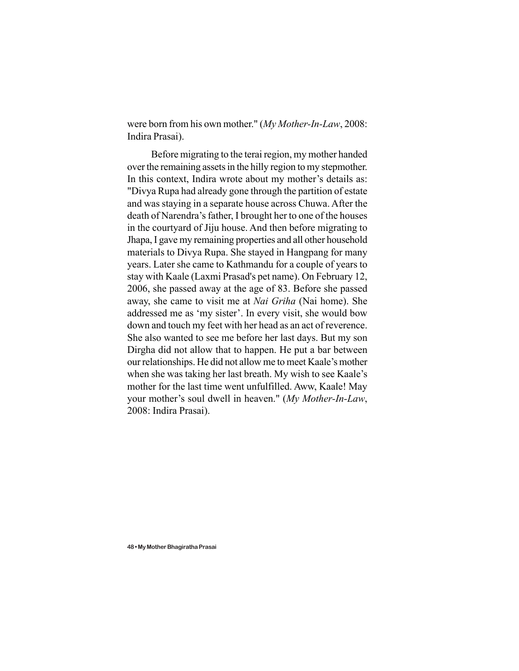were born from his own mother." (*My Mother-In-Law*, 2008: Indira Prasai).

Before migrating to the terai region, my mother handed over the remaining assets in the hilly region to my stepmother. In this context, Indira wrote about my mother's details as: "Divya Rupa had already gone through the partition of estate and was staying in a separate house across Chuwa. After the death of Narendra's father, I brought her to one of the houses in the courtyard of Jiju house. And then before migrating to Jhapa, I gave my remaining properties and all other household materials to Divya Rupa. She stayed in Hangpang for many years. Later she came to Kathmandu for a couple of years to stay with Kaale (Laxmi Prasad's pet name). On February 12, 2006, she passed away at the age of 83. Before she passed away, she came to visit me at *Nai Griha* (Nai home). She addressed me as 'my sister'. In every visit, she would bow down and touch my feet with her head as an act of reverence. She also wanted to see me before her last days. But my son Dirgha did not allow that to happen. He put a bar between our relationships. He did not allow me to meet Kaale's mother when she was taking her last breath. My wish to see Kaale's mother for the last time went unfulfilled. Aww, Kaale! May your mother's soul dwell in heaven." (*My Mother-In-Law*, 2008: Indira Prasai).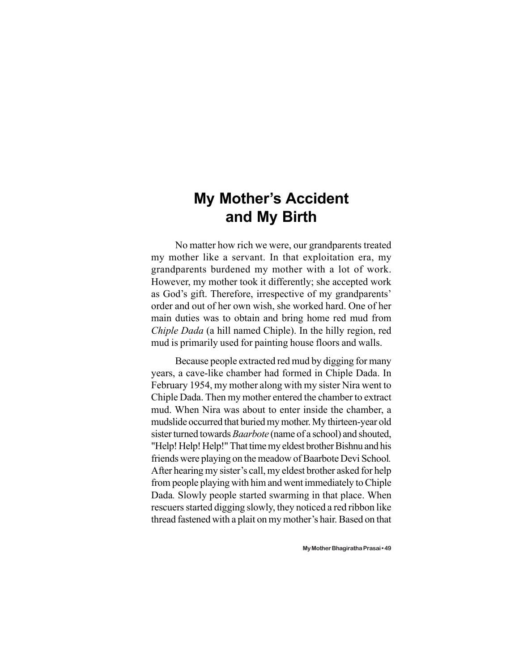## **My Mother's Accident and My Birth**

No matter how rich we were, our grandparents treated my mother like a servant. In that exploitation era, my grandparents burdened my mother with a lot of work. However, my mother took it differently; she accepted work as God's gift. Therefore, irrespective of my grandparents' order and out of her own wish, she worked hard. One of her main duties was to obtain and bring home red mud from *Chiple Dada* (a hill named Chiple). In the hilly region, red mud is primarily used for painting house floors and walls.

Because people extracted red mud by digging for many years, a cave-like chamber had formed in Chiple Dada. In February 1954, my mother along with my sister Nira went to Chiple Dada. Then my mother entered the chamber to extract mud. When Nira was about to enter inside the chamber, a mudslide occurred that buried my mother. My thirteen-year old sister turned towards *Baarbote* (name of a school) and shouted, "Help! Help! Help!" That time my eldest brother Bishnu and his friends were playing on the meadow of Baarbote Devi School*.* After hearing my sister's call, my eldest brother asked for help from people playing with him and went immediately to Chiple Dada*.* Slowly people started swarming in that place. When rescuers started digging slowly, they noticed a red ribbon like thread fastened with a plait on my mother's hair. Based on that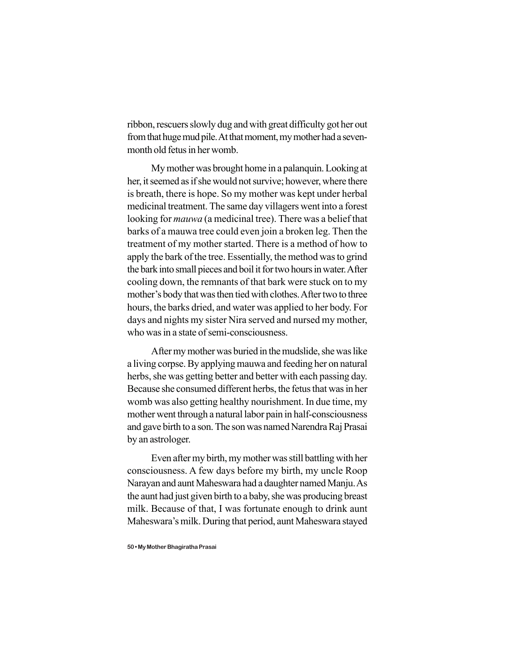ribbon, rescuers slowly dug and with great difficulty got her out from that huge mud pile. At that moment, my mother had a sevenmonth old fetus in her womb.

My mother was brought home in a palanquin. Looking at her, it seemed as if she would not survive; however, where there is breath, there is hope. So my mother was kept under herbal medicinal treatment. The same day villagers went into a forest looking for *mauwa* (a medicinal tree). There was a belief that barks of a mauwa tree could even join a broken leg. Then the treatment of my mother started. There is a method of how to apply the bark of the tree. Essentially, the method was to grind the bark into small pieces and boil it for two hours in water. After cooling down, the remnants of that bark were stuck on to my mother's body that was then tied with clothes. After two to three hours, the barks dried, and water was applied to her body. For days and nights my sister Nira served and nursed my mother, who was in a state of semi-consciousness.

After my mother was buried in the mudslide, she was like a living corpse. By applying mauwa and feeding her on natural herbs, she was getting better and better with each passing day. Because she consumed different herbs, the fetus that was in her womb was also getting healthy nourishment. In due time, my mother went through a natural labor pain in half-consciousness and gave birth to a son. The son was named Narendra Raj Prasai by an astrologer.

Even after my birth, my mother was still battling with her consciousness. A few days before my birth, my uncle Roop Narayan and aunt Maheswara had a daughter named Manju. As the aunt had just given birth to a baby, she was producing breast milk. Because of that, I was fortunate enough to drink aunt Maheswara's milk. During that period, aunt Maheswara stayed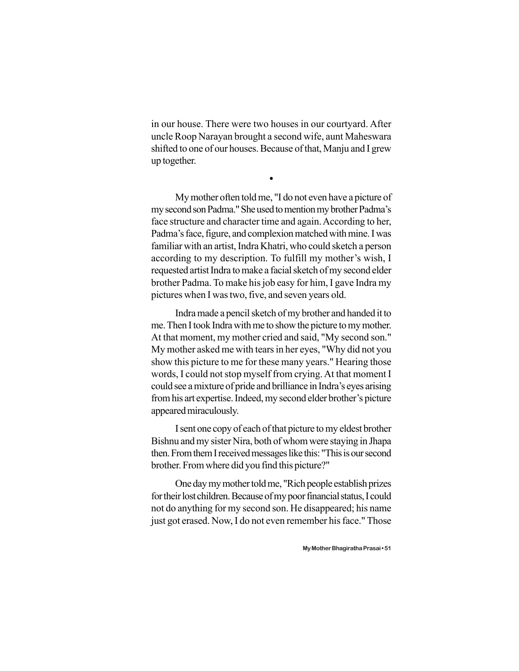in our house. There were two houses in our courtyard. After uncle Roop Narayan brought a second wife, aunt Maheswara shifted to one of our houses. Because of that, Manju and I grew up together.

 $\bullet$ 

My mother often told me, "I do not even have a picture of my second son Padma." She used to mention my brother Padma's face structure and character time and again. According to her, Padma's face, figure, and complexion matched with mine. I was familiar with an artist, Indra Khatri, who could sketch a person according to my description. To fulfill my mother's wish, I requested artist Indra to make a facial sketch of my second elder brother Padma. To make his job easy for him, I gave Indra my pictures when I was two, five, and seven years old.

Indra made a pencil sketch of my brother and handed it to me. Then I took Indra with me to show the picture to my mother. At that moment, my mother cried and said, "My second son." My mother asked me with tears in her eyes, "Why did not you show this picture to me for these many years." Hearing those words, I could not stop myself from crying. At that moment I could see a mixture of pride and brilliance in Indra's eyes arising from his art expertise. Indeed, my second elder brother's picture appeared miraculously.

I sent one copy of each of that picture to my eldest brother Bishnu and my sister Nira, both of whom were staying in Jhapa then. From them I received messages like this: "This is our second brother. From where did you find this picture?"

One day my mother told me, "Rich people establish prizes for their lost children. Because of my poor financial status, I could not do anything for my second son. He disappeared; his name just got erased. Now, I do not even remember his face." Those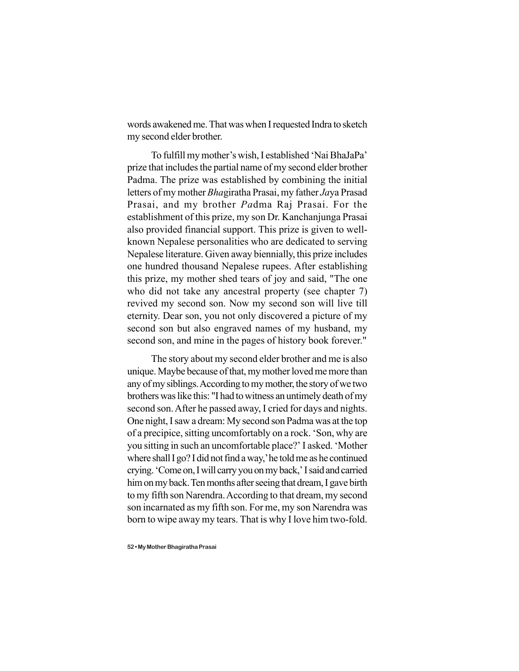words awakened me. That was when I requested Indra to sketch my second elder brother.

To fulfill my mother's wish, I established 'Nai BhaJaPa' prize that includes the partial name of my second elder brother Padma. The prize was established by combining the initial letters of my mother *Bha*giratha Prasai, my father *Ja*ya Prasad Prasai, and my brother *Pa*dma Raj Prasai. For the establishment of this prize, my son Dr. Kanchanjunga Prasai also provided financial support. This prize is given to wellknown Nepalese personalities who are dedicated to serving Nepalese literature. Given away biennially, this prize includes one hundred thousand Nepalese rupees. After establishing this prize, my mother shed tears of joy and said, "The one who did not take any ancestral property (see chapter 7) revived my second son. Now my second son will live till eternity. Dear son, you not only discovered a picture of my second son but also engraved names of my husband, my second son, and mine in the pages of history book forever."

The story about my second elder brother and me is also unique. Maybe because of that, my mother loved me more than any of my siblings. According to my mother, the story of we two brothers was like this: "I had to witness an untimely death of my second son. After he passed away, I cried for days and nights. One night, I saw a dream: My second son Padma was at the top of a precipice, sitting uncomfortably on a rock. 'Son, why are you sitting in such an uncomfortable place?' I asked. 'Mother where shall I go? I did not find a way,' he told me as he continued crying. 'Come on, I will carry you on my back,' I said and carried him on my back. Ten months after seeing that dream, I gave birth to my fifth son Narendra. According to that dream, my second son incarnated as my fifth son. For me, my son Narendra was born to wipe away my tears. That is why I love him two-fold.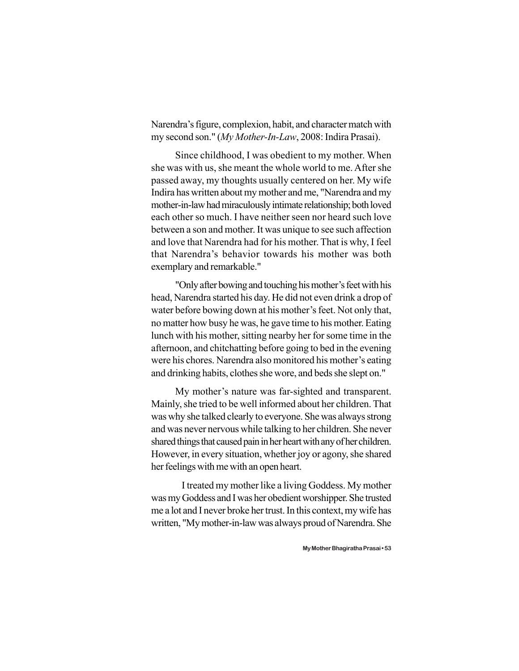Narendra's figure, complexion, habit, and character match with my second son." (*My Mother-In-Law*, 2008: Indira Prasai).

Since childhood, I was obedient to my mother. When she was with us, she meant the whole world to me. After she passed away, my thoughts usually centered on her. My wife Indira has written about my mother and me, "Narendra and my mother-in-law had miraculously intimate relationship; both loved each other so much. I have neither seen nor heard such love between a son and mother. It was unique to see such affection and love that Narendra had for his mother. That is why, I feel that Narendra's behavior towards his mother was both exemplary and remarkable."

"Only after bowing and touching his mother's feet with his head, Narendra started his day. He did not even drink a drop of water before bowing down at his mother's feet. Not only that, no matter how busy he was, he gave time to his mother. Eating lunch with his mother, sitting nearby her for some time in the afternoon, and chitchatting before going to bed in the evening were his chores. Narendra also monitored his mother's eating and drinking habits, clothes she wore, and beds she slept on."

My mother's nature was far-sighted and transparent. Mainly, she tried to be well informed about her children. That was why she talked clearly to everyone. She was always strong and was never nervous while talking to her children. She never shared things that caused pain in her heart with any of her children. However, in every situation, whether joy or agony, she shared her feelings with me with an open heart.

I treated my mother like a living Goddess. My mother was my Goddess and I was her obedient worshipper. She trusted me a lot and I never broke her trust. In this context, my wife has written, "My mother-in-law was always proud of Narendra. She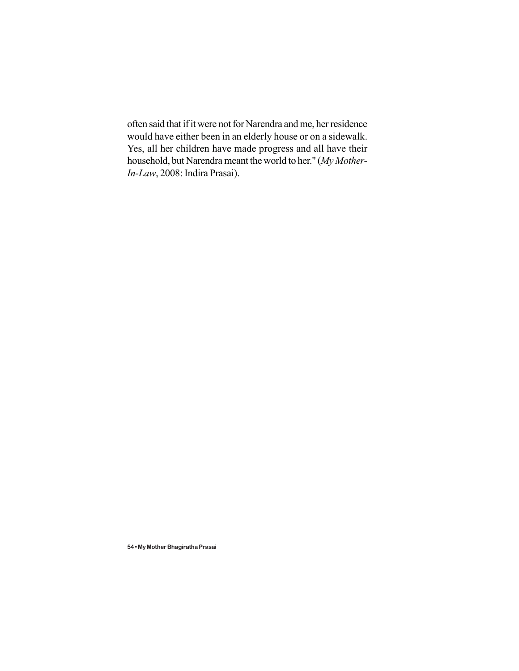often said that if it were not for Narendra and me, her residence would have either been in an elderly house or on a sidewalk. Yes, all her children have made progress and all have their household, but Narendra meant the world to her." (*My Mother-In-Law*, 2008: Indira Prasai).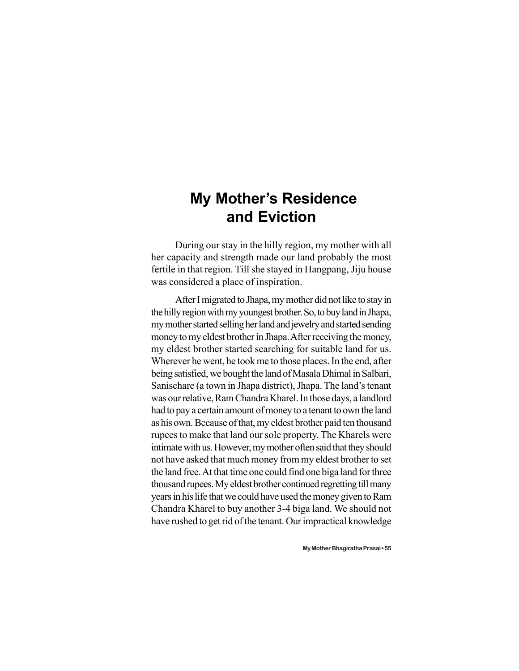## **My Mother's Residence and Eviction**

During our stay in the hilly region, my mother with all her capacity and strength made our land probably the most fertile in that region. Till she stayed in Hangpang, Jiju house was considered a place of inspiration.

After I migrated to Jhapa, my mother did not like to stay in the hilly region with my youngest brother. So, to buy land in Jhapa, my mother started selling her land and jewelry and started sending money to my eldest brother in Jhapa. After receiving the money, my eldest brother started searching for suitable land for us. Wherever he went, he took me to those places. In the end, after being satisfied, we bought the land of Masala Dhimal in Salbari, Sanischare (a town in Jhapa district), Jhapa. The land's tenant was our relative, Ram Chandra Kharel. In those days, a landlord had to pay a certain amount of money to a tenant to own the land as his own. Because of that, my eldest brother paid ten thousand rupees to make that land our sole property. The Kharels were intimate with us. However, my mother often said that they should not have asked that much money from my eldest brother to set the land free. At that time one could find one biga land for three thousand rupees. My eldest brother continued regretting till many years in his life that we could have used the money given to Ram Chandra Kharel to buy another 3-4 biga land. We should not have rushed to get rid of the tenant. Our impractical knowledge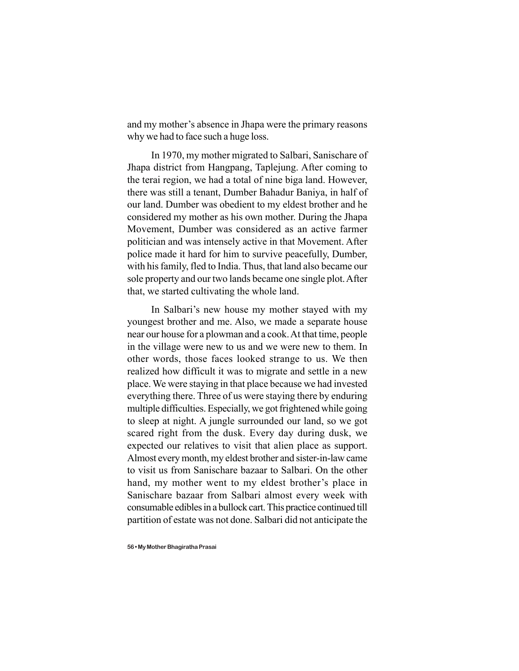and my mother's absence in Jhapa were the primary reasons why we had to face such a huge loss.

In 1970, my mother migrated to Salbari, Sanischare of Jhapa district from Hangpang, Taplejung. After coming to the terai region, we had a total of nine biga land. However, there was still a tenant, Dumber Bahadur Baniya, in half of our land. Dumber was obedient to my eldest brother and he considered my mother as his own mother. During the Jhapa Movement, Dumber was considered as an active farmer politician and was intensely active in that Movement. After police made it hard for him to survive peacefully, Dumber, with his family, fled to India. Thus, that land also became our sole property and our two lands became one single plot. After that, we started cultivating the whole land.

In Salbari's new house my mother stayed with my youngest brother and me. Also, we made a separate house near our house for a plowman and a cook. At that time, people in the village were new to us and we were new to them. In other words, those faces looked strange to us. We then realized how difficult it was to migrate and settle in a new place. We were staying in that place because we had invested everything there. Three of us were staying there by enduring multiple difficulties. Especially, we got frightened while going to sleep at night. A jungle surrounded our land, so we got scared right from the dusk. Every day during dusk, we expected our relatives to visit that alien place as support. Almost every month, my eldest brother and sister-in-law came to visit us from Sanischare bazaar to Salbari. On the other hand, my mother went to my eldest brother's place in Sanischare bazaar from Salbari almost every week with consumable edibles in a bullock cart. This practice continued till partition of estate was not done. Salbari did not anticipate the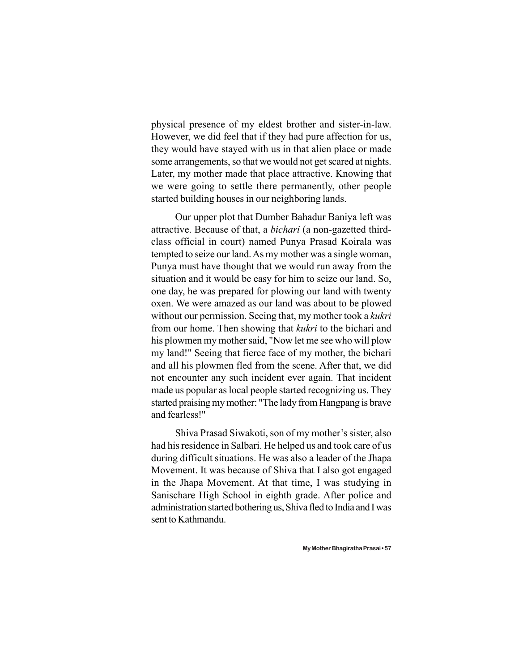physical presence of my eldest brother and sister-in-law. However, we did feel that if they had pure affection for us, they would have stayed with us in that alien place or made some arrangements, so that we would not get scared at nights. Later, my mother made that place attractive. Knowing that we were going to settle there permanently, other people started building houses in our neighboring lands.

Our upper plot that Dumber Bahadur Baniya left was attractive. Because of that, a *bichari* (a non-gazetted thirdclass official in court) named Punya Prasad Koirala was tempted to seize our land. As my mother was a single woman, Punya must have thought that we would run away from the situation and it would be easy for him to seize our land. So, one day, he was prepared for plowing our land with twenty oxen. We were amazed as our land was about to be plowed without our permission. Seeing that, my mother took a *kukri* from our home. Then showing that *kukri* to the bichari and his plowmen my mother said, "Now let me see who will plow my land!" Seeing that fierce face of my mother, the bichari and all his plowmen fled from the scene. After that, we did not encounter any such incident ever again. That incident made us popular as local people started recognizing us. They started praising my mother: "The lady from Hangpang is brave and fearless!"

Shiva Prasad Siwakoti, son of my mother's sister, also had his residence in Salbari. He helped us and took care of us during difficult situations. He was also a leader of the Jhapa Movement. It was because of Shiva that I also got engaged in the Jhapa Movement. At that time, I was studying in Sanischare High School in eighth grade. After police and administration started bothering us, Shiva fled to India and I was sent to Kathmandu.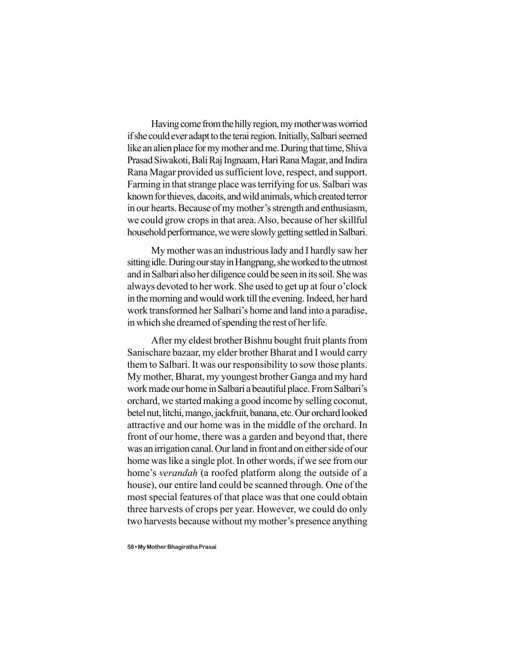Having come from the hilly region, my mother was worried if she could ever adapt to the terai region. Initially, Salbari seemed like an alien place for my mother and me. During that time, Shiva Prasad Siwakoti, Bali Raj Ingnaam, Hari Rana Magar, and Indira Rana Magar provided us sufficient love, respect, and support. Farming in that strange place was terrifying for us. Salbari was known for thieves, dacoits, and wild animals, which created terror in our hearts. Because of my mother's strength and enthusiasm, we could grow crops in that area. Also, because of her skillful household performance, we were slowly getting settled in Salbari.

My mother was an industrious lady and I hardly saw her sitting idle. During our stay in Hangpang, she worked to the utmost and in Salbari also her diligence could be seen in its soil. She was always devoted to her work. She used to get up at four o'clock in the morning and would work till the evening. Indeed, her hard work transformed her Salbari's home and land into a paradise, in which she dreamed of spending the rest of her life.

After my eldest brother Bishnu bought fruit plants from Sanischare bazaar, my elder brother Bharat and I would carry them to Salbari. It was our responsibility to sow those plants. My mother, Bharat, my youngest brother Ganga and my hard work made our home in Salbari a beautiful place. From Salbari's orchard, we started making a good income by selling coconut, betel nut, litchi, mango, jackfruit, banana, etc. Our orchard looked attractive and our home was in the middle of the orchard. In front of our home, there was a garden and beyond that, there was an irrigation canal. Our land in front and on either side of our home was like a single plot. In other words, if we see from our home's *verandah* (a roofed platform along the outside of a house), our entire land could be scanned through. One of the most special features of that place was that one could obtain three harvests of crops per year. However, we could do only two harvests because without my mother's presence anything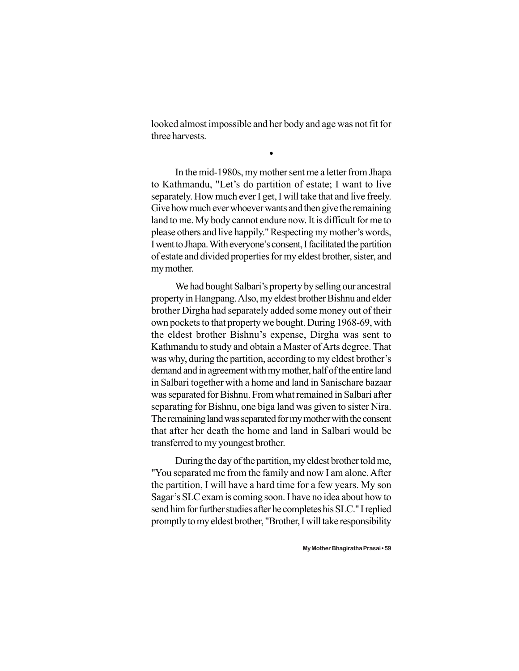looked almost impossible and her body and age was not fit for three harvests.

 $\bullet$ 

In the mid-1980s, my mother sent me a letter from Jhapa to Kathmandu, "Let's do partition of estate; I want to live separately. How much ever I get, I will take that and live freely. Give how much ever whoever wants and then give the remaining land to me. My body cannot endure now. It is difficult for me to please others and live happily." Respecting my mother's words, I went to Jhapa. With everyone's consent, I facilitated the partition of estate and divided properties for my eldest brother, sister, and my mother.

We had bought Salbari's property by selling our ancestral property in Hangpang. Also, my eldest brother Bishnu and elder brother Dirgha had separately added some money out of their own pockets to that property we bought. During 1968-69, with the eldest brother Bishnu's expense, Dirgha was sent to Kathmandu to study and obtain a Master of Arts degree. That was why, during the partition, according to my eldest brother's demand and in agreement with my mother, half of the entire land in Salbari together with a home and land in Sanischare bazaar was separated for Bishnu. From what remained in Salbari after separating for Bishnu, one biga land was given to sister Nira. The remaining land was separated for my mother with the consent that after her death the home and land in Salbari would be transferred to my youngest brother.

During the day of the partition, my eldest brother told me, "You separated me from the family and now I am alone. After the partition, I will have a hard time for a few years. My son Sagar's SLC exam is coming soon. I have no idea about how to send him for further studies after he completes his SLC." I replied promptly to my eldest brother, "Brother, I will take responsibility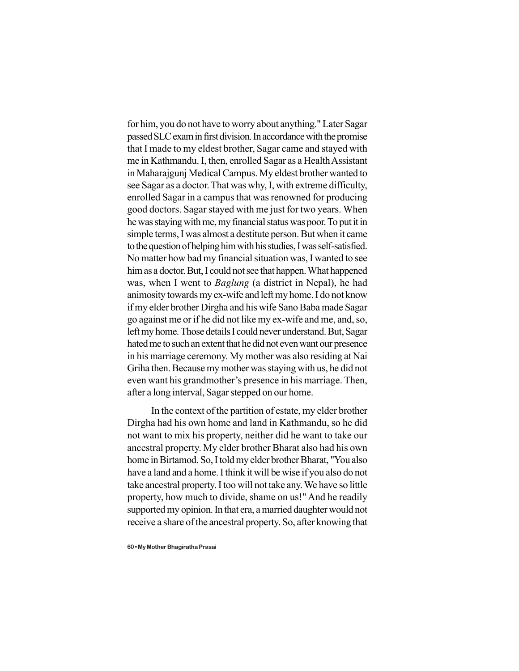for him, you do not have to worry about anything." Later Sagar passed SLC exam in first division. In accordance with the promise that I made to my eldest brother, Sagar came and stayed with me in Kathmandu. I, then, enrolled Sagar as a Health Assistant in Maharajgunj Medical Campus. My eldest brother wanted to see Sagar as a doctor. That was why, I, with extreme difficulty, enrolled Sagar in a campus that was renowned for producing good doctors. Sagar stayed with me just for two years. When he was staying with me, my financial status was poor. To put it in simple terms, I was almost a destitute person. But when it came to the question of helping him with his studies, I was self-satisfied. No matter how bad my financial situation was, I wanted to see him as a doctor. But, I could not see that happen. What happened was, when I went to *Baglung* (a district in Nepal), he had animosity towards my ex-wife and left my home. I do not know if my elder brother Dirgha and his wife Sano Baba made Sagar go against me or if he did not like my ex-wife and me, and, so, left my home. Those details I could never understand. But, Sagar hated me to such an extent that he did not even want our presence in his marriage ceremony. My mother was also residing at Nai Griha then. Because my mother was staying with us, he did not even want his grandmother's presence in his marriage. Then, after a long interval, Sagar stepped on our home.

In the context of the partition of estate, my elder brother Dirgha had his own home and land in Kathmandu, so he did not want to mix his property, neither did he want to take our ancestral property. My elder brother Bharat also had his own home in Birtamod. So, I told my elder brother Bharat, "You also have a land and a home. I think it will be wise if you also do not take ancestral property. I too will not take any. We have so little property, how much to divide, shame on us!" And he readily supported my opinion. In that era, a married daughter would not receive a share of the ancestral property. So, after knowing that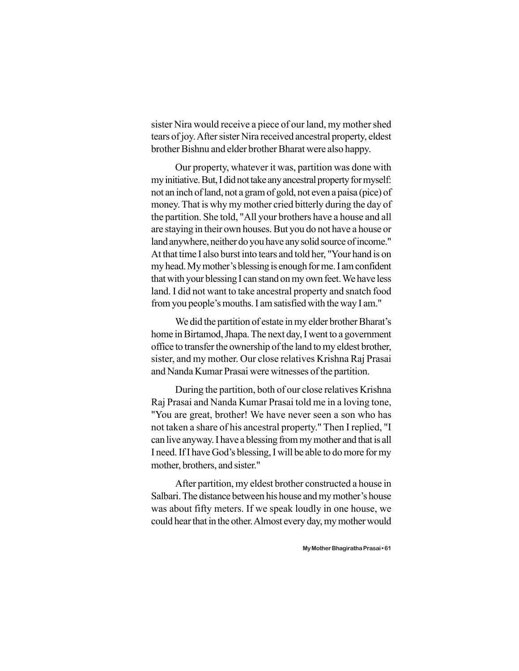sister Nira would receive a piece of our land, my mother shed tears of joy. After sister Nira received ancestral property, eldest brother Bishnu and elder brother Bharat were also happy.

Our property, whatever it was, partition was done with my initiative. But, I did not take any ancestral property for myself: not an inch of land, not a gram of gold, not even a paisa (pice) of money. That is why my mother cried bitterly during the day of the partition. She told, "All your brothers have a house and all are staying in their own houses. But you do not have a house or land anywhere, neither do you have any solid source of income." At that time I also burst into tears and told her, "Your hand is on my head. My mother's blessing is enough for me. I am confident that with your blessing I can stand on my own feet. We have less land. I did not want to take ancestral property and snatch food from you people's mouths. I am satisfied with the way I am."

We did the partition of estate in my elder brother Bharat's home in Birtamod, Jhapa. The next day, I went to a government office to transfer the ownership of the land to my eldest brother, sister, and my mother. Our close relatives Krishna Raj Prasai and Nanda Kumar Prasai were witnesses of the partition.

During the partition, both of our close relatives Krishna Raj Prasai and Nanda Kumar Prasai told me in a loving tone, "You are great, brother! We have never seen a son who has not taken a share of his ancestral property." Then I replied, "I can live anyway. I have a blessing from my mother and that is all I need. If I have God's blessing, I will be able to do more for my mother, brothers, and sister."

After partition, my eldest brother constructed a house in Salbari. The distance between his house and my mother's house was about fifty meters. If we speak loudly in one house, we could hear that in the other. Almost every day, my mother would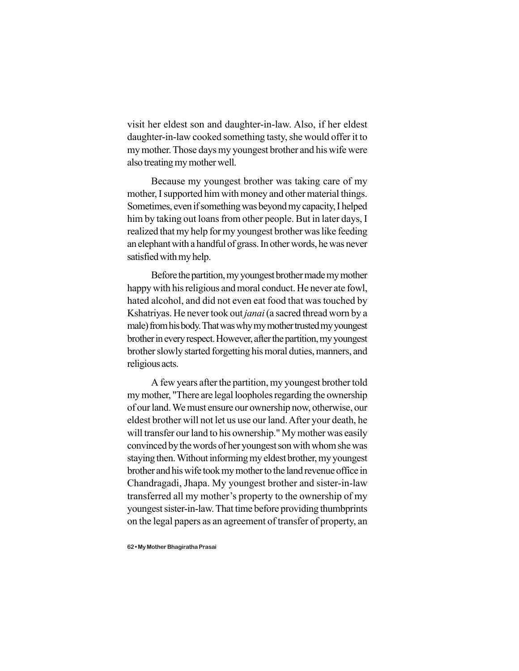visit her eldest son and daughter-in-law. Also, if her eldest daughter-in-law cooked something tasty, she would offer it to my mother. Those days my youngest brother and his wife were also treating my mother well.

Because my youngest brother was taking care of my mother, I supported him with money and other material things. Sometimes, even if something was beyond my capacity, I helped him by taking out loans from other people. But in later days, I realized that my help for my youngest brother was like feeding an elephant with a handful of grass. In other words, he was never satisfied with my help.

Before the partition, my youngest brother made my mother happy with his religious and moral conduct. He never ate fowl, hated alcohol, and did not even eat food that was touched by Kshatriyas. He never took out *janai* (a sacred thread worn by a male) from his body. That was why my mother trusted my youngest brother in every respect. However, after the partition, my youngest brother slowly started forgetting his moral duties, manners, and religious acts.

A few years after the partition, my youngest brother told my mother, "There are legal loopholes regarding the ownership of our land. We must ensure our ownership now, otherwise, our eldest brother will not let us use our land. After your death, he will transfer our land to his ownership." My mother was easily convinced by the words of her youngest son with whom she was staying then. Without informing my eldest brother, my youngest brother and his wife took my mother to the land revenue office in Chandragadi, Jhapa. My youngest brother and sister-in-law transferred all my mother's property to the ownership of my youngest sister-in-law. That time before providing thumbprints on the legal papers as an agreement of transfer of property, an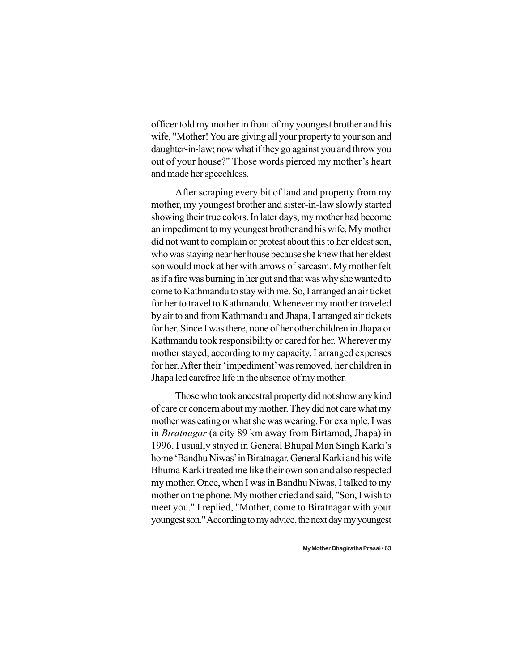officer told my mother in front of my youngest brother and his wife, "Mother! You are giving all your property to your son and daughter-in-law; now what if they go against you and throw you out of your house?" Those words pierced my mother's heart and made her speechless.

After scraping every bit of land and property from my mother, my youngest brother and sister-in-law slowly started showing their true colors. In later days, my mother had become an impediment to my youngest brother and his wife. My mother did not want to complain or protest about this to her eldest son, who was staying near her house because she knew that her eldest son would mock at her with arrows of sarcasm. My mother felt as if a fire was burning in her gut and that was why she wanted to come to Kathmandu to stay with me. So, I arranged an air ticket for her to travel to Kathmandu. Whenever my mother traveled by air to and from Kathmandu and Jhapa, I arranged air tickets for her. Since I was there, none of her other children in Jhapa or Kathmandu took responsibility or cared for her. Wherever my mother stayed, according to my capacity, I arranged expenses for her. After their 'impediment' was removed, her children in Jhapa led carefree life in the absence of my mother.

Those who took ancestral property did not show any kind of care or concern about my mother. They did not care what my mother was eating or what she was wearing. For example, I was in *Biratnagar* (a city 89 km away from Birtamod, Jhapa) in 1996. I usually stayed in General Bhupal Man Singh Karki's home 'Bandhu Niwas' in Biratnagar. General Karki and his wife Bhuma Karki treated me like their own son and also respected my mother. Once, when I was in Bandhu Niwas, I talked to my mother on the phone. My mother cried and said, "Son, I wish to meet you." I replied, "Mother, come to Biratnagar with your youngest son." According to my advice, the next day my youngest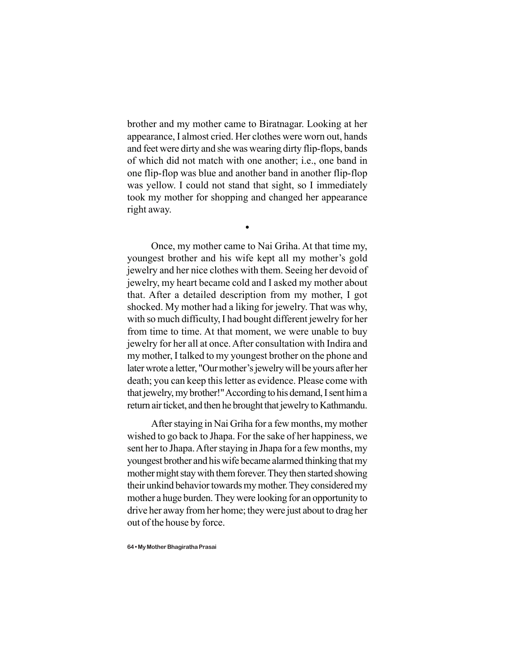brother and my mother came to Biratnagar. Looking at her appearance, I almost cried. Her clothes were worn out, hands and feet were dirty and she was wearing dirty flip-flops, bands of which did not match with one another; i.e., one band in one flip-flop was blue and another band in another flip-flop was yellow. I could not stand that sight, so I immediately took my mother for shopping and changed her appearance right away.

 $\bullet$ 

Once, my mother came to Nai Griha. At that time my, youngest brother and his wife kept all my mother's gold jewelry and her nice clothes with them. Seeing her devoid of jewelry, my heart became cold and I asked my mother about that. After a detailed description from my mother, I got shocked. My mother had a liking for jewelry. That was why, with so much difficulty, I had bought different jewelry for her from time to time. At that moment, we were unable to buy jewelry for her all at once. After consultation with Indira and my mother, I talked to my youngest brother on the phone and later wrote a letter, "Our mother's jewelry will be yours after her death; you can keep this letter as evidence. Please come with that jewelry, my brother!" According to his demand, I sent him a return air ticket, and then he brought that jewelry to Kathmandu.

After staying in Nai Griha for a few months, my mother wished to go back to Jhapa. For the sake of her happiness, we sent her to Jhapa. After staying in Jhapa for a few months, my youngest brother and his wife became alarmed thinking that my mother might stay with them forever. They then started showing their unkind behavior towards my mother. They considered my mother a huge burden. They were looking for an opportunity to drive her away from her home; they were just about to drag her out of the house by force.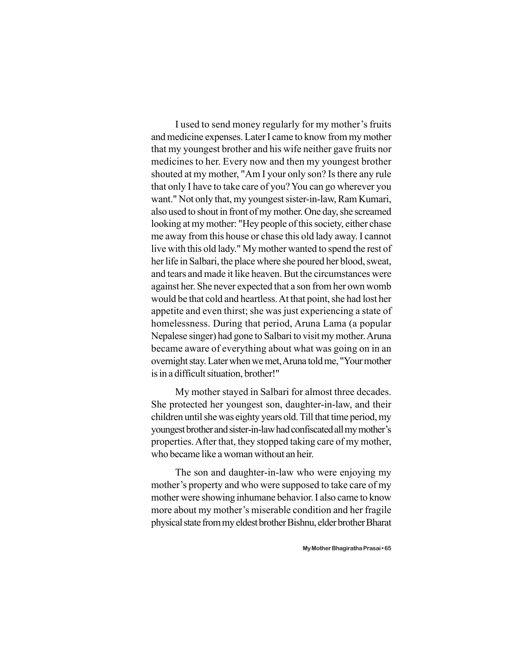I used to send money regularly for my mother's fruits and medicine expenses. Later I came to know from my mother that my youngest brother and his wife neither gave fruits nor medicines to her. Every now and then my youngest brother shouted at my mother, "Am I your only son? Is there any rule that only I have to take care of you? You can go wherever you want." Not only that, my youngest sister-in-law, Ram Kumari, also used to shout in front of my mother. One day, she screamed looking at my mother: "Hey people of this society, either chase me away from this house or chase this old lady away. I cannot live with this old lady." My mother wanted to spend the rest of her life in Salbari, the place where she poured her blood, sweat, and tears and made it like heaven. But the circumstances were against her. She never expected that a son from her own womb would be that cold and heartless. At that point, she had lost her appetite and even thirst; she was just experiencing a state of homelessness. During that period, Aruna Lama (a popular Nepalese singer) had gone to Salbari to visit my mother. Aruna became aware of everything about what was going on in an overnight stay. Later when we met, Aruna told me, "Your mother is in a difficult situation, brother!"

My mother stayed in Salbari for almost three decades. She protected her youngest son, daughter-in-law, and their children until she was eighty years old. Till that time period, my youngest brother and sister-in-law had confiscated all my mother's properties. After that, they stopped taking care of my mother, who became like a woman without an heir.

The son and daughter-in-law who were enjoying my mother's property and who were supposed to take care of my mother were showing inhumane behavior. I also came to know more about my mother's miserable condition and her fragile physical state from my eldest brother Bishnu, elder brother Bharat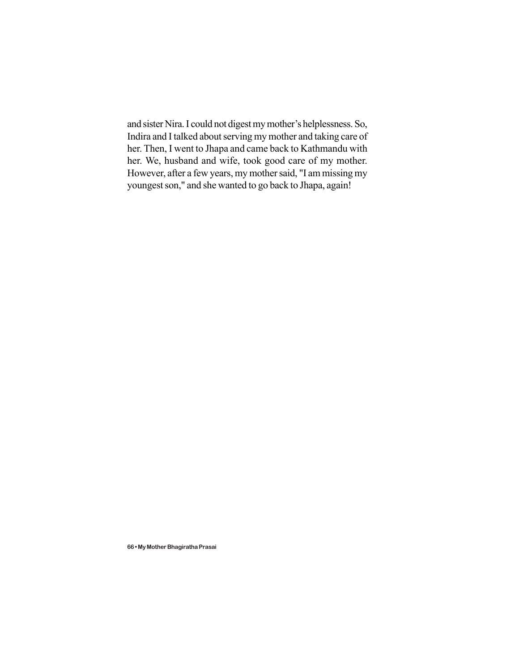and sister Nira. I could not digest my mother's helplessness. So, Indira and I talked about serving my mother and taking care of her. Then, I went to Jhapa and came back to Kathmandu with her. We, husband and wife, took good care of my mother. However, after a few years, my mother said, "I am missing my youngest son," and she wanted to go back to Jhapa, again!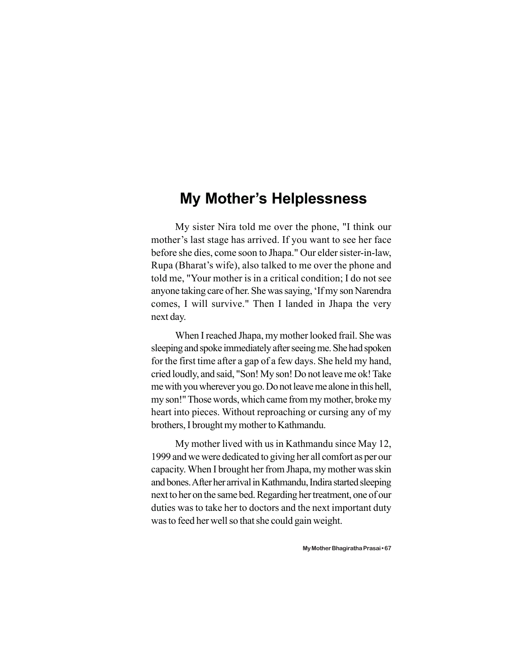#### **My Mother's Helplessness**

My sister Nira told me over the phone, "I think our mother's last stage has arrived. If you want to see her face before she dies, come soon to Jhapa." Our elder sister-in-law, Rupa (Bharat's wife), also talked to me over the phone and told me, "Your mother is in a critical condition; I do not see anyone taking care of her. She was saying, 'If my son Narendra comes, I will survive." Then I landed in Jhapa the very next day.

When I reached Jhapa, my mother looked frail. She was sleeping and spoke immediately after seeing me. She had spoken for the first time after a gap of a few days. She held my hand, cried loudly, and said, "Son! My son! Do not leave me ok! Take me with you wherever you go. Do not leave me alone in this hell, my son!" Those words, which came from my mother, broke my heart into pieces. Without reproaching or cursing any of my brothers, I brought my mother to Kathmandu.

My mother lived with us in Kathmandu since May 12, 1999 and we were dedicated to giving her all comfort as per our capacity. When I brought her from Jhapa, my mother was skin and bones. After her arrival in Kathmandu, Indira started sleeping next to her on the same bed. Regarding her treatment, one of our duties was to take her to doctors and the next important duty was to feed her well so that she could gain weight.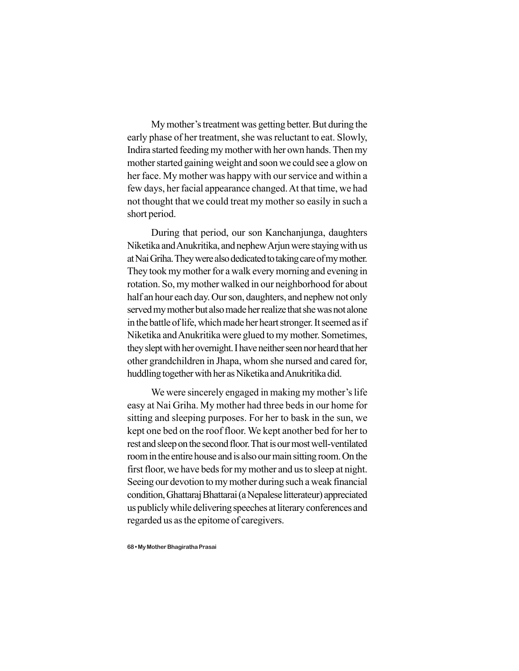My mother's treatment was getting better. But during the early phase of her treatment, she was reluctant to eat. Slowly, Indira started feeding my mother with her own hands. Then my mother started gaining weight and soon we could see a glow on her face. My mother was happy with our service and within a few days, her facial appearance changed. At that time, we had not thought that we could treat my mother so easily in such a short period.

During that period, our son Kanchanjunga, daughters Niketika and Anukritika, and nephew Arjun were staying with us at Nai Griha. They were also dedicated to taking care of my mother. They took my mother for a walk every morning and evening in rotation. So, my mother walked in our neighborhood for about half an hour each day. Our son, daughters, and nephew not only served my mother but also made her realize that she was not alone in the battle of life, which made her heart stronger. It seemed as if Niketika and Anukritika were glued to my mother. Sometimes, they slept with her overnight. I have neither seen nor heard that her other grandchildren in Jhapa, whom she nursed and cared for, huddling together with her as Niketika and Anukritika did.

We were sincerely engaged in making my mother's life easy at Nai Griha. My mother had three beds in our home for sitting and sleeping purposes. For her to bask in the sun, we kept one bed on the roof floor. We kept another bed for her to rest and sleep on the second floor. That is our most well-ventilated room in the entire house and is also our main sitting room. On the first floor, we have beds for my mother and us to sleep at night. Seeing our devotion to my mother during such a weak financial condition, Ghattaraj Bhattarai (a Nepalese litterateur) appreciated us publicly while delivering speeches at literary conferences and regarded us as the epitome of caregivers.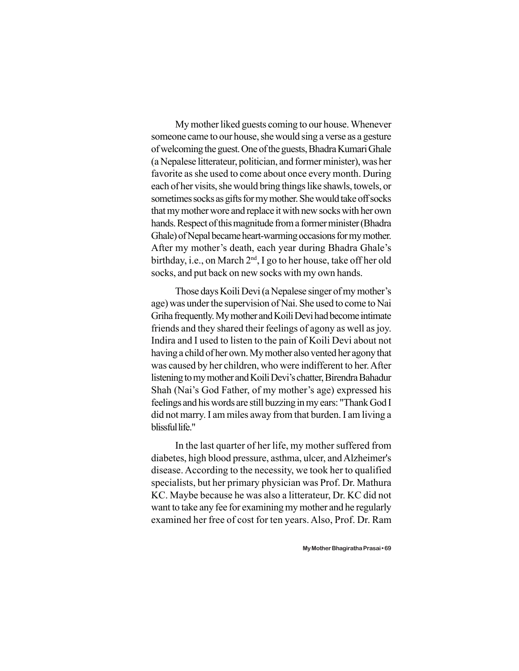My mother liked guests coming to our house. Whenever someone came to our house, she would sing a verse as a gesture of welcoming the guest. One of the guests, Bhadra Kumari Ghale (a Nepalese litterateur, politician, and former minister), was her favorite as she used to come about once every month. During each of her visits, she would bring things like shawls, towels, or sometimes socks as gifts for my mother. She would take off socks that my mother wore and replace it with new socks with her own hands. Respect of this magnitude from a former minister (Bhadra Ghale) of Nepal became heart-warming occasions for my mother. After my mother's death, each year during Bhadra Ghale's birthday, i.e., on March 2<sup>nd</sup>, I go to her house, take off her old socks, and put back on new socks with my own hands.

Those days Koili Devi (a Nepalese singer of my mother's age) was under the supervision of Nai. She used to come to Nai Griha frequently. My mother and Koili Devi had become intimate friends and they shared their feelings of agony as well as joy. Indira and I used to listen to the pain of Koili Devi about not having a child of her own. My mother also vented her agony that was caused by her children, who were indifferent to her. After listening to my mother and Koili Devi's chatter, Birendra Bahadur Shah (Nai's God Father, of my mother's age) expressed his feelings and his words are still buzzing in my ears: "Thank God I did not marry. I am miles away from that burden. I am living a blissful life."

In the last quarter of her life, my mother suffered from diabetes, high blood pressure, asthma, ulcer, and Alzheimer's disease. According to the necessity, we took her to qualified specialists, but her primary physician was Prof. Dr. Mathura KC. Maybe because he was also a litterateur, Dr. KC did not want to take any fee for examining my mother and he regularly examined her free of cost for ten years. Also, Prof. Dr. Ram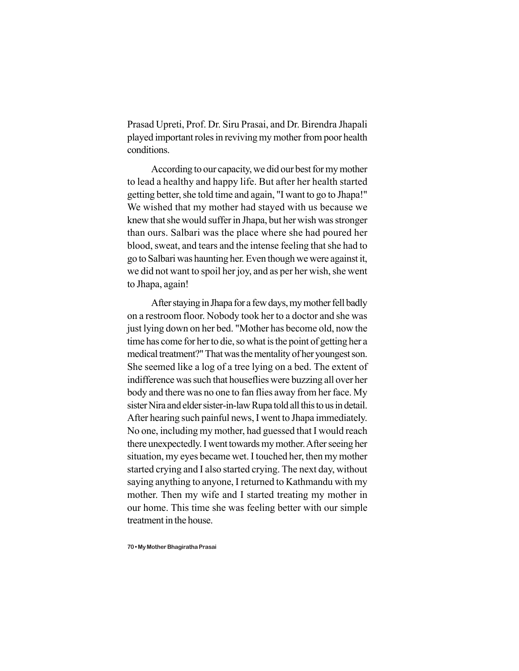Prasad Upreti, Prof. Dr. Siru Prasai, and Dr. Birendra Jhapali played important roles in reviving my mother from poor health conditions.

According to our capacity, we did our best for my mother to lead a healthy and happy life. But after her health started getting better, she told time and again, "I want to go to Jhapa!" We wished that my mother had stayed with us because we knew that she would suffer in Jhapa, but her wish was stronger than ours. Salbari was the place where she had poured her blood, sweat, and tears and the intense feeling that she had to go to Salbari was haunting her. Even though we were against it, we did not want to spoil her joy, and as per her wish, she went to Jhapa, again!

After staying in Jhapa for a few days, my mother fell badly on a restroom floor. Nobody took her to a doctor and she was just lying down on her bed. "Mother has become old, now the time has come for her to die, so what is the point of getting her a medical treatment?" That was the mentality of her youngest son. She seemed like a log of a tree lying on a bed. The extent of indifference was such that houseflies were buzzing all over her body and there was no one to fan flies away from her face. My sister Nira and elder sister-in-law Rupa told all this to us in detail. After hearing such painful news, I went to Jhapa immediately. No one, including my mother, had guessed that I would reach there unexpectedly. I went towards my mother. After seeing her situation, my eyes became wet. I touched her, then my mother started crying and I also started crying. The next day, without saying anything to anyone, I returned to Kathmandu with my mother. Then my wife and I started treating my mother in our home. This time she was feeling better with our simple treatment in the house.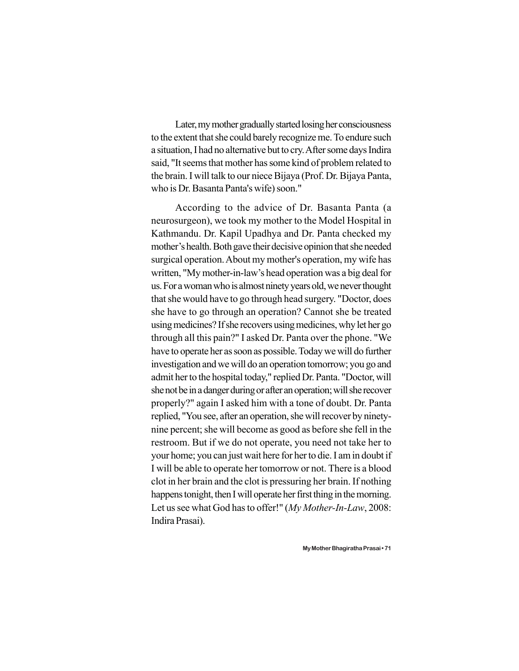Later, my mother gradually started losing her consciousness to the extent that she could barely recognize me. To endure such a situation, I had no alternative but to cry. After some days Indira said, "It seems that mother has some kind of problem related to the brain. I will talk to our niece Bijaya (Prof. Dr. Bijaya Panta, who is Dr. Basanta Panta's wife) soon."

According to the advice of Dr. Basanta Panta (a neurosurgeon), we took my mother to the Model Hospital in Kathmandu. Dr. Kapil Upadhya and Dr. Panta checked my mother's health. Both gave their decisive opinion that she needed surgical operation. About my mother's operation, my wife has written, "My mother-in-law's head operation was a big deal for us. For a woman who is almost ninety years old, we never thought that she would have to go through head surgery. "Doctor, does she have to go through an operation? Cannot she be treated using medicines? If she recovers using medicines, why let her go through all this pain?" I asked Dr. Panta over the phone. "We have to operate her as soon as possible. Today we will do further investigation and we will do an operation tomorrow; you go and admit her to the hospital today," replied Dr. Panta. "Doctor, will she not be in a danger during or after an operation; will she recover properly?" again I asked him with a tone of doubt. Dr. Panta replied, "You see, after an operation, she will recover by ninetynine percent; she will become as good as before she fell in the restroom. But if we do not operate, you need not take her to your home; you can just wait here for her to die. I am in doubt if I will be able to operate her tomorrow or not. There is a blood clot in her brain and the clot is pressuring her brain. If nothing happens tonight, then I will operate her first thing in the morning. Let us see what God has to offer!" (*My Mother-In-Law*, 2008: Indira Prasai).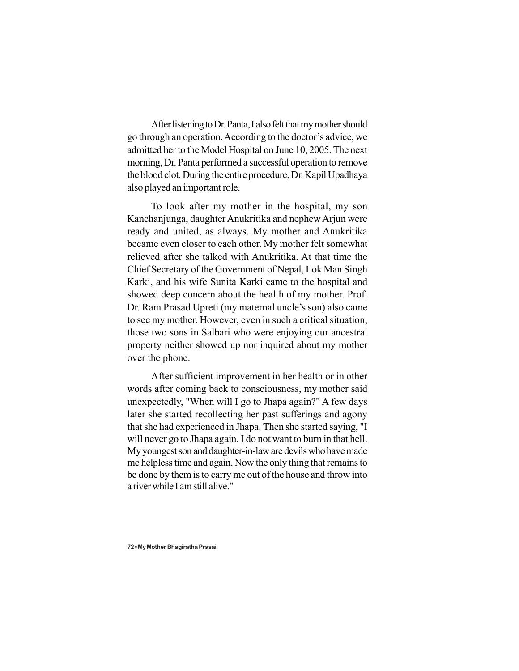After listening to Dr. Panta, I also felt that my mother should go through an operation. According to the doctor's advice, we admitted her to the Model Hospital on June 10, 2005. The next morning, Dr. Panta performed a successful operation to remove the blood clot. During the entire procedure, Dr. Kapil Upadhaya also played an important role.

To look after my mother in the hospital, my son Kanchanjunga, daughter Anukritika and nephew Arjun were ready and united, as always. My mother and Anukritika became even closer to each other. My mother felt somewhat relieved after she talked with Anukritika. At that time the Chief Secretary of the Government of Nepal, Lok Man Singh Karki, and his wife Sunita Karki came to the hospital and showed deep concern about the health of my mother. Prof. Dr. Ram Prasad Upreti (my maternal uncle's son) also came to see my mother. However, even in such a critical situation, those two sons in Salbari who were enjoying our ancestral property neither showed up nor inquired about my mother over the phone.

After sufficient improvement in her health or in other words after coming back to consciousness, my mother said unexpectedly, "When will I go to Jhapa again?" A few days later she started recollecting her past sufferings and agony that she had experienced in Jhapa. Then she started saying, "I will never go to Jhapa again. I do not want to burn in that hell. My youngest son and daughter-in-law are devils who have made me helpless time and again. Now the only thing that remains to be done by them is to carry me out of the house and throw into a river while I am still alive."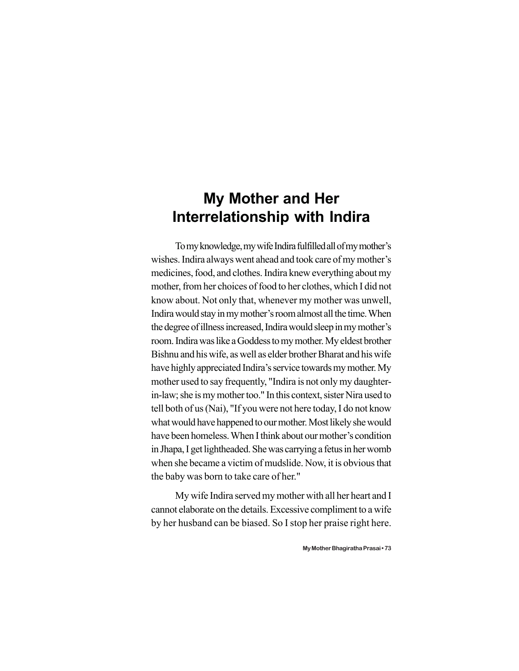## **My Mother and Her Interrelationship with Indira**

To my knowledge, my wife Indira fulfilled all of my mother's wishes. Indira always went ahead and took care of my mother's medicines, food, and clothes. Indira knew everything about my mother, from her choices of food to her clothes, which I did not know about. Not only that, whenever my mother was unwell, Indira would stay in my mother's room almost all the time. When the degree of illness increased, Indira would sleep in my mother's room. Indira was like a Goddess to my mother. My eldest brother Bishnu and his wife, as well as elder brother Bharat and his wife have highly appreciated Indira's service towards my mother. My mother used to say frequently, "Indira is not only my daughterin-law; she is my mother too." In this context, sister Nira used to tell both of us (Nai), "If you were not here today, I do not know what would have happened to our mother. Most likely she would have been homeless. When I think about our mother's condition in Jhapa, I get lightheaded. She was carrying a fetus in her womb when she became a victim of mudslide. Now, it is obvious that the baby was born to take care of her."

My wife Indira served my mother with all her heart and I cannot elaborate on the details. Excessive compliment to a wife by her husband can be biased. So I stop her praise right here.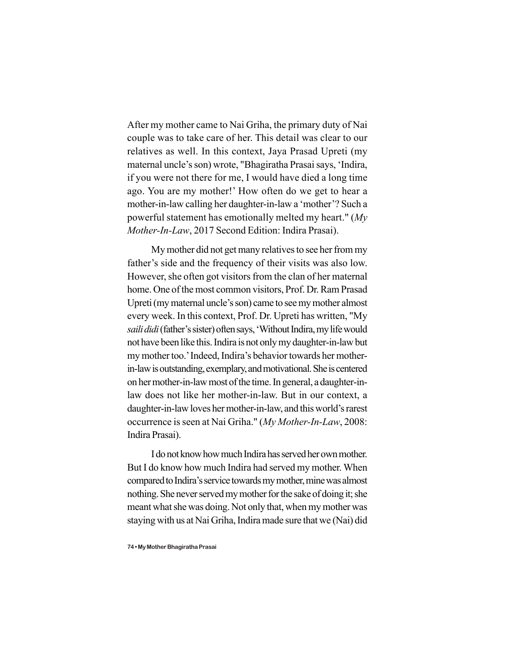After my mother came to Nai Griha, the primary duty of Nai couple was to take care of her. This detail was clear to our relatives as well. In this context, Jaya Prasad Upreti (my maternal uncle's son) wrote, "Bhagiratha Prasai says, 'Indira, if you were not there for me, I would have died a long time ago. You are my mother!' How often do we get to hear a mother-in-law calling her daughter-in-law a 'mother'? Such a powerful statement has emotionally melted my heart." (*My Mother-In-Law*, 2017 Second Edition: Indira Prasai).

My mother did not get many relatives to see her from my father's side and the frequency of their visits was also low. However, she often got visitors from the clan of her maternal home. One of the most common visitors, Prof. Dr. Ram Prasad Upreti (my maternal uncle's son) came to see my mother almost every week. In this context, Prof. Dr. Upreti has written, "My *saili didi* (father's sister) often says, 'Without Indira, my life would not have been like this. Indira is not only my daughter-in-law but my mother too.' Indeed, Indira's behavior towards her motherin-law is outstanding, exemplary, and motivational. She is centered on her mother-in-law most of the time. In general, a daughter-inlaw does not like her mother-in-law. But in our context, a daughter-in-law loves her mother-in-law, and this world's rarest occurrence is seen at Nai Griha." (*My Mother-In-Law*, 2008: Indira Prasai).

I do not know how much Indira has served her own mother. But I do know how much Indira had served my mother. When compared to Indira's service towards my mother, mine was almost nothing. She never served my mother for the sake of doing it; she meant what she was doing. Not only that, when my mother was staying with us at Nai Griha, Indira made sure that we (Nai) did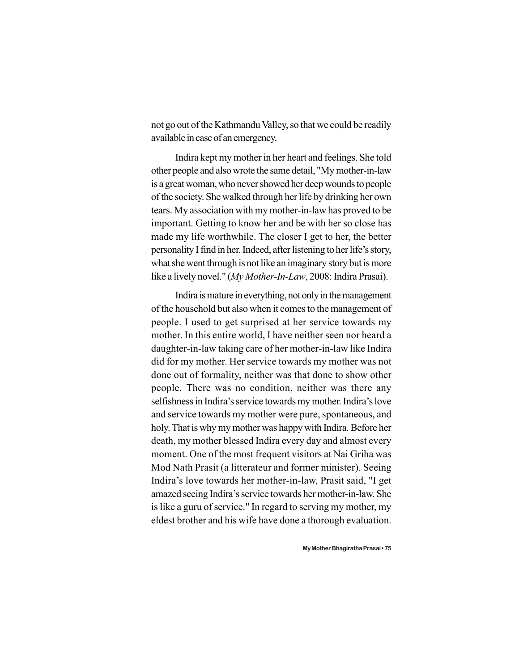not go out of the Kathmandu Valley, so that we could be readily available in case of an emergency.

Indira kept my mother in her heart and feelings. She told other people and also wrote the same detail, "My mother-in-law is a great woman, who never showed her deep wounds to people of the society. She walked through her life by drinking her own tears. My association with my mother-in-law has proved to be important. Getting to know her and be with her so close has made my life worthwhile. The closer I get to her, the better personality I find in her. Indeed, after listening to her life's story, what she went through is not like an imaginary story but is more like a lively novel." (*My Mother-In-Law*, 2008: Indira Prasai).

Indira is mature in everything, not only in the management of the household but also when it comes to the management of people. I used to get surprised at her service towards my mother. In this entire world, I have neither seen nor heard a daughter-in-law taking care of her mother-in-law like Indira did for my mother. Her service towards my mother was not done out of formality, neither was that done to show other people. There was no condition, neither was there any selfishness in Indira's service towards my mother. Indira's love and service towards my mother were pure, spontaneous, and holy. That is why my mother was happy with Indira. Before her death, my mother blessed Indira every day and almost every moment. One of the most frequent visitors at Nai Griha was Mod Nath Prasit (a litterateur and former minister). Seeing Indira's love towards her mother-in-law, Prasit said, "I get amazed seeing Indira's service towards her mother-in-law. She is like a guru of service." In regard to serving my mother, my eldest brother and his wife have done a thorough evaluation.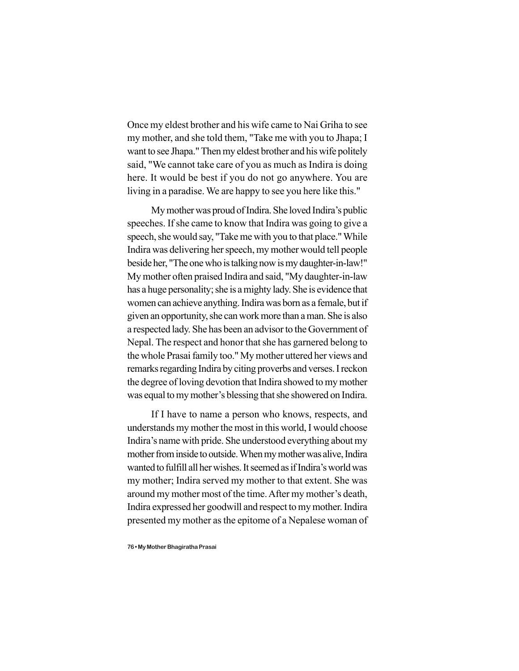Once my eldest brother and his wife came to Nai Griha to see my mother, and she told them, "Take me with you to Jhapa; I want to see Jhapa." Then my eldest brother and his wife politely said, "We cannot take care of you as much as Indira is doing here. It would be best if you do not go anywhere. You are living in a paradise. We are happy to see you here like this."

My mother was proud of Indira. She loved Indira's public speeches. If she came to know that Indira was going to give a speech, she would say, "Take me with you to that place." While Indira was delivering her speech, my mother would tell people beside her, "The one who is talking now is my daughter-in-law!" My mother often praised Indira and said, "My daughter-in-law has a huge personality; she is a mighty lady. She is evidence that women can achieve anything. Indira was born as a female, but if given an opportunity, she can work more than a man. She is also a respected lady. She has been an advisor to the Government of Nepal. The respect and honor that she has garnered belong to the whole Prasai family too." My mother uttered her views and remarks regarding Indira by citing proverbs and verses. I reckon the degree of loving devotion that Indira showed to my mother was equal to my mother's blessing that she showered on Indira.

If I have to name a person who knows, respects, and understands my mother the most in this world, I would choose Indira's name with pride. She understood everything about my mother from inside to outside. When my mother was alive, Indira wanted to fulfill all her wishes. It seemed as if Indira's world was my mother; Indira served my mother to that extent. She was around my mother most of the time. After my mother's death, Indira expressed her goodwill and respect to my mother. Indira presented my mother as the epitome of a Nepalese woman of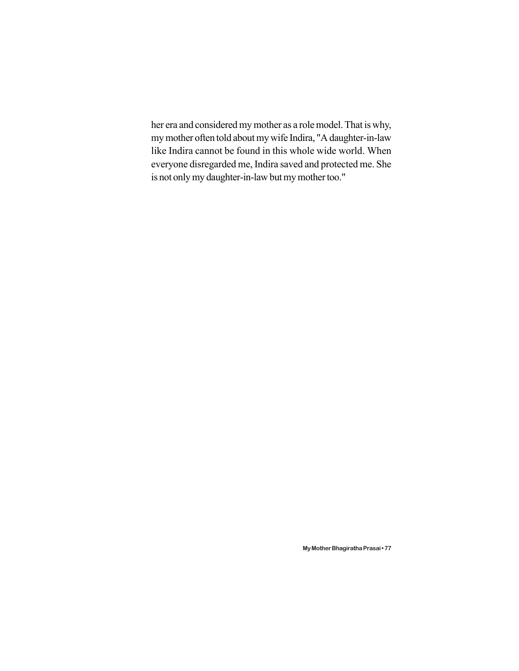her era and considered my mother as a role model. That is why, my mother often told about my wife Indira, "A daughter-in-law like Indira cannot be found in this whole wide world. When everyone disregarded me, Indira saved and protected me. She is not only my daughter-in-law but my mother too."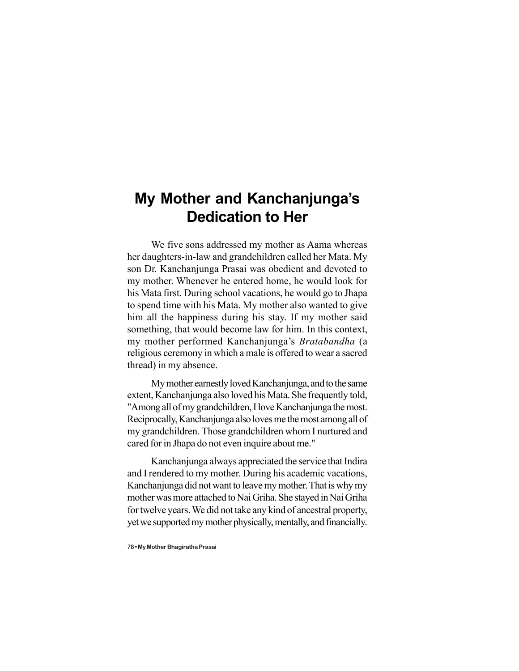## **My Mother and Kanchanjunga's Dedication to Her**

We five sons addressed my mother as Aama whereas her daughters-in-law and grandchildren called her Mata. My son Dr. Kanchanjunga Prasai was obedient and devoted to my mother. Whenever he entered home, he would look for his Mata first. During school vacations, he would go to Jhapa to spend time with his Mata. My mother also wanted to give him all the happiness during his stay. If my mother said something, that would become law for him. In this context, my mother performed Kanchanjunga's *Bratabandha* (a religious ceremony in which a male is offered to wear a sacred thread) in my absence.

My mother earnestly loved Kanchanjunga, and to the same extent, Kanchanjunga also loved his Mata. She frequently told, "Among all of my grandchildren, I love Kanchanjunga the most. Reciprocally, Kanchanjunga also loves me the most among all of my grandchildren. Those grandchildren whom I nurtured and cared for in Jhapa do not even inquire about me."

Kanchanjunga always appreciated the service that Indira and I rendered to my mother. During his academic vacations, Kanchanjunga did not want to leave my mother. That is why my mother was more attached to Nai Griha. She stayed in Nai Griha for twelve years. We did not take any kind of ancestral property, yet we supported my mother physically, mentally, and financially.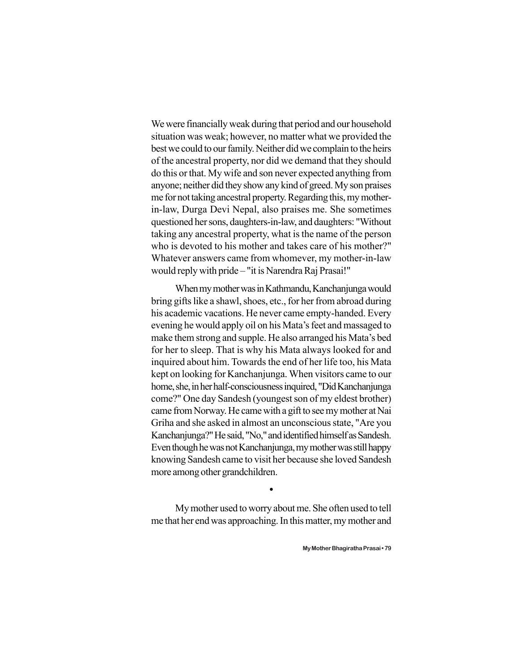We were financially weak during that period and our household situation was weak; however, no matter what we provided the best we could to our family. Neither did we complain to the heirs of the ancestral property, nor did we demand that they should do this or that. My wife and son never expected anything from anyone; neither did they show any kind of greed. My son praises me for not taking ancestral property. Regarding this, my motherin-law, Durga Devi Nepal, also praises me. She sometimes questioned her sons, daughters-in-law, and daughters: "Without taking any ancestral property, what is the name of the person who is devoted to his mother and takes care of his mother?" Whatever answers came from whomever, my mother-in-law would reply with pride – "it is Narendra Raj Prasai!"

When my mother was in Kathmandu, Kanchanjunga would bring gifts like a shawl, shoes, etc., for her from abroad during his academic vacations. He never came empty-handed. Every evening he would apply oil on his Mata's feet and massaged to make them strong and supple. He also arranged his Mata's bed for her to sleep. That is why his Mata always looked for and inquired about him. Towards the end of her life too, his Mata kept on looking for Kanchanjunga. When visitors came to our home, she, in her half-consciousness inquired, "Did Kanchanjunga come?" One day Sandesh (youngest son of my eldest brother) came from Norway. He came with a gift to see my mother at Nai Griha and she asked in almost an unconscious state, "Are you Kanchanjunga?" He said, "No," and identified himself as Sandesh. Even though he was not Kanchanjunga, my mother was still happy knowing Sandesh came to visit her because she loved Sandesh more among other grandchildren.

My mother used to worry about me. She often used to tell me that her end was approaching. In this matter, my mother and

 $\bullet$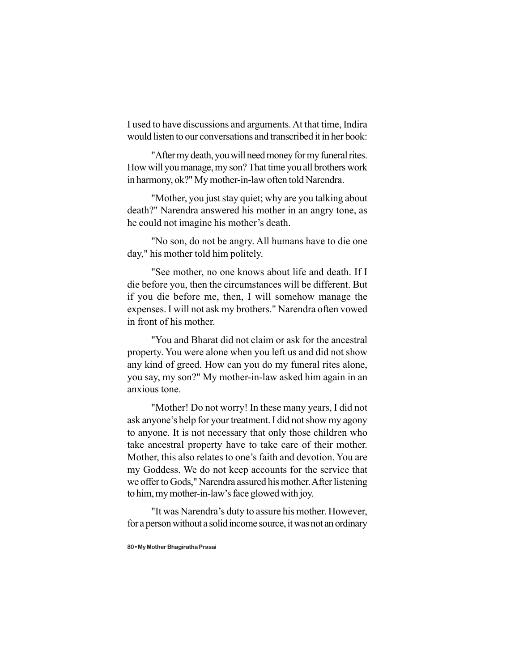I used to have discussions and arguments. At that time, Indira would listen to our conversations and transcribed it in her book:

"After my death, you will need money for my funeral rites. How will you manage, my son? That time you all brothers work in harmony, ok?" My mother-in-law often told Narendra.

"Mother, you just stay quiet; why are you talking about death?" Narendra answered his mother in an angry tone, as he could not imagine his mother's death.

"No son, do not be angry. All humans have to die one day," his mother told him politely.

"See mother, no one knows about life and death. If I die before you, then the circumstances will be different. But if you die before me, then, I will somehow manage the expenses. I will not ask my brothers." Narendra often vowed in front of his mother.

"You and Bharat did not claim or ask for the ancestral property. You were alone when you left us and did not show any kind of greed. How can you do my funeral rites alone, you say, my son?" My mother-in-law asked him again in an anxious tone.

"Mother! Do not worry! In these many years, I did not ask anyone's help for your treatment. I did not show my agony to anyone. It is not necessary that only those children who take ancestral property have to take care of their mother. Mother, this also relates to one's faith and devotion. You are my Goddess. We do not keep accounts for the service that we offer to Gods," Narendra assured his mother. After listening to him, my mother-in-law's face glowed with joy.

"It was Narendra's duty to assure his mother. However, for a person without a solid income source, it was not an ordinary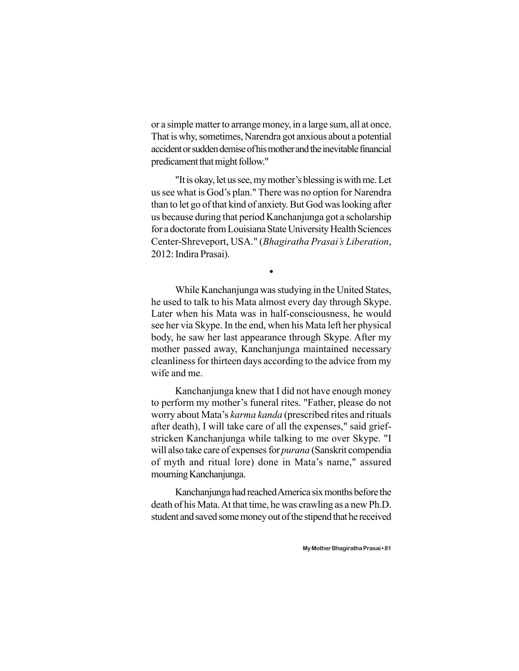or a simple matter to arrange money, in a large sum, all at once. That is why, sometimes, Narendra got anxious about a potential accident or sudden demise of his mother and the inevitable financial predicament that might follow."

"It is okay, let us see, my mother's blessing is with me. Let us see what is God's plan." There was no option for Narendra than to let go of that kind of anxiety. But God was looking after us because during that period Kanchanjunga got a scholarship for a doctorate from Louisiana State University Health Sciences Center-Shreveport, USA." (*Bhagiratha Prasai's Liberation*, 2012: Indira Prasai).

 $\bullet$ 

While Kanchanjunga was studying in the United States, he used to talk to his Mata almost every day through Skype. Later when his Mata was in half-consciousness, he would see her via Skype. In the end, when his Mata left her physical body, he saw her last appearance through Skype. After my mother passed away, Kanchanjunga maintained necessary cleanliness for thirteen days according to the advice from my wife and me.

Kanchanjunga knew that I did not have enough money to perform my mother's funeral rites. "Father, please do not worry about Mata's *karma kanda* (prescribed rites and rituals after death), I will take care of all the expenses," said griefstricken Kanchanjunga while talking to me over Skype. "I will also take care of expenses for *purana* (Sanskrit compendia of myth and ritual lore) done in Mata's name," assured mourning Kanchanjunga.

Kanchanjunga had reached America six months before the death of his Mata. At that time, he was crawling as a new Ph.D. student and saved some money out of the stipend that he received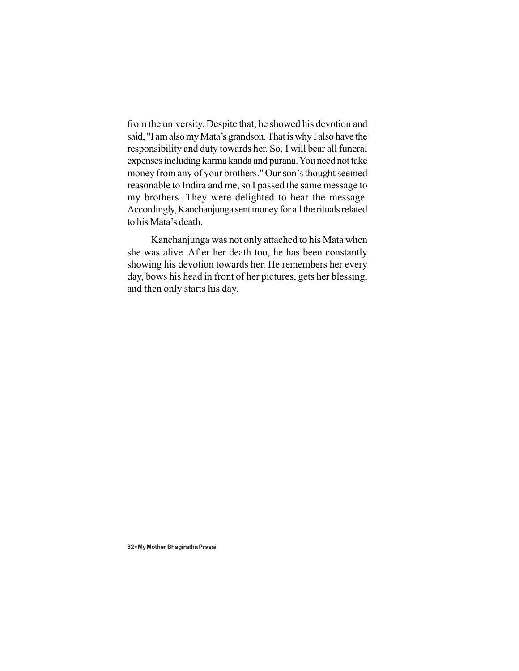from the university. Despite that, he showed his devotion and said, "I am also my Mata's grandson. That is why I also have the responsibility and duty towards her. So, I will bear all funeral expenses including karma kanda and purana. You need not take money from any of your brothers." Our son's thought seemed reasonable to Indira and me, so I passed the same message to my brothers. They were delighted to hear the message. Accordingly, Kanchanjunga sent money for all the rituals related to his Mata's death.

Kanchanjunga was not only attached to his Mata when she was alive. After her death too, he has been constantly showing his devotion towards her. He remembers her every day, bows his head in front of her pictures, gets her blessing, and then only starts his day.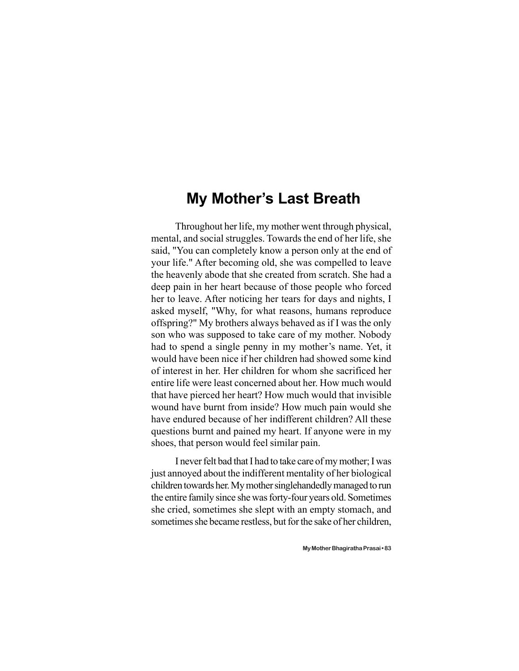## **My Mother's Last Breath**

Throughout her life, my mother went through physical, mental, and social struggles. Towards the end of her life, she said, "You can completely know a person only at the end of your life." After becoming old, she was compelled to leave the heavenly abode that she created from scratch. She had a deep pain in her heart because of those people who forced her to leave. After noticing her tears for days and nights, I asked myself, "Why, for what reasons, humans reproduce offspring?" My brothers always behaved as if I was the only son who was supposed to take care of my mother. Nobody had to spend a single penny in my mother's name. Yet, it would have been nice if her children had showed some kind of interest in her. Her children for whom she sacrificed her entire life were least concerned about her. How much would that have pierced her heart? How much would that invisible wound have burnt from inside? How much pain would she have endured because of her indifferent children? All these questions burnt and pained my heart. If anyone were in my shoes, that person would feel similar pain.

I never felt bad that I had to take care of my mother; I was just annoyed about the indifferent mentality of her biological children towards her. My mother singlehandedly managed to run the entire family since she was forty-four years old. Sometimes she cried, sometimes she slept with an empty stomach, and sometimes she became restless, but for the sake of her children,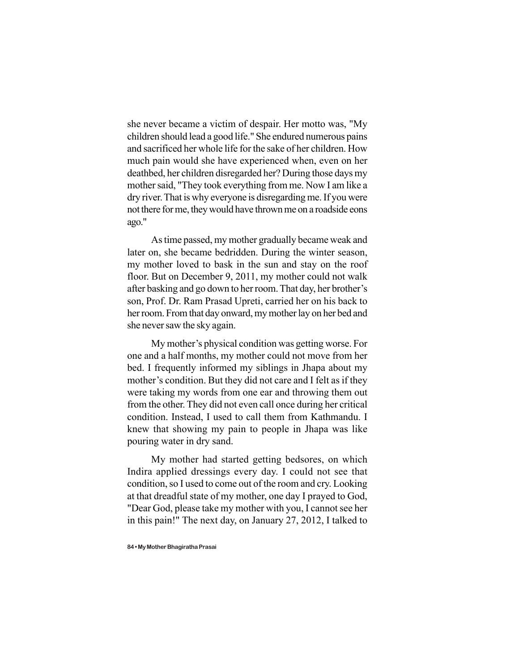she never became a victim of despair. Her motto was, "My children should lead a good life." She endured numerous pains and sacrificed her whole life for the sake of her children. How much pain would she have experienced when, even on her deathbed, her children disregarded her? During those days my mother said, "They took everything from me. Now I am like a dry river. That is why everyone is disregarding me. If you were not there for me, they would have thrown me on a roadside eons ago."

As time passed, my mother gradually became weak and later on, she became bedridden. During the winter season, my mother loved to bask in the sun and stay on the roof floor. But on December 9, 2011, my mother could not walk after basking and go down to her room. That day, her brother's son, Prof. Dr. Ram Prasad Upreti, carried her on his back to her room. From that day onward, my mother lay on her bed and she never saw the sky again.

My mother's physical condition was getting worse. For one and a half months, my mother could not move from her bed. I frequently informed my siblings in Jhapa about my mother's condition. But they did not care and I felt as if they were taking my words from one ear and throwing them out from the other. They did not even call once during her critical condition. Instead, I used to call them from Kathmandu. I knew that showing my pain to people in Jhapa was like pouring water in dry sand.

My mother had started getting bedsores, on which Indira applied dressings every day. I could not see that condition, so I used to come out of the room and cry. Looking at that dreadful state of my mother, one day I prayed to God, "Dear God, please take my mother with you, I cannot see her in this pain!" The next day, on January 27, 2012, I talked to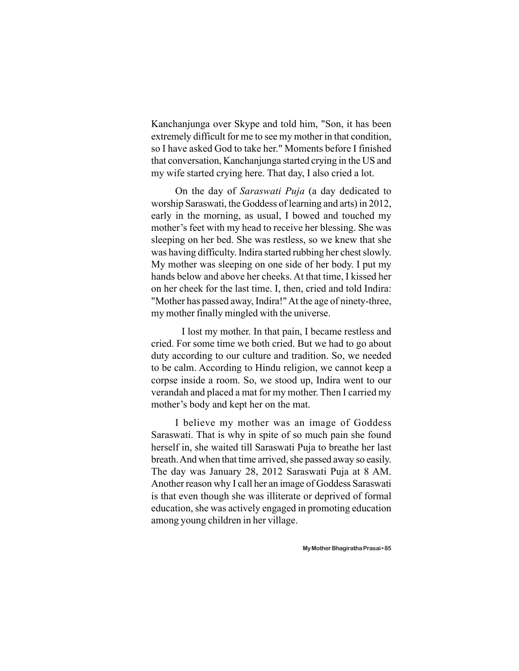Kanchanjunga over Skype and told him, "Son, it has been extremely difficult for me to see my mother in that condition, so I have asked God to take her." Moments before I finished that conversation, Kanchanjunga started crying in the US and my wife started crying here. That day, I also cried a lot.

On the day of *Saraswati Puja* (a day dedicated to worship Saraswati, the Goddess of learning and arts) in 2012, early in the morning, as usual, I bowed and touched my mother's feet with my head to receive her blessing. She was sleeping on her bed. She was restless, so we knew that she was having difficulty. Indira started rubbing her chest slowly. My mother was sleeping on one side of her body. I put my hands below and above her cheeks. At that time, I kissed her on her cheek for the last time. I, then, cried and told Indira: "Mother has passed away, Indira!" At the age of ninety-three, my mother finally mingled with the universe.

I lost my mother. In that pain, I became restless and cried. For some time we both cried. But we had to go about duty according to our culture and tradition. So, we needed to be calm. According to Hindu religion, we cannot keep a corpse inside a room. So, we stood up, Indira went to our verandah and placed a mat for my mother. Then I carried my mother's body and kept her on the mat.

I believe my mother was an image of Goddess Saraswati. That is why in spite of so much pain she found herself in, she waited till Saraswati Puja to breathe her last breath. And when that time arrived, she passed away so easily. The day was January 28, 2012 Saraswati Puja at 8 AM. Another reason why I call her an image of Goddess Saraswati is that even though she was illiterate or deprived of formal education, she was actively engaged in promoting education among young children in her village.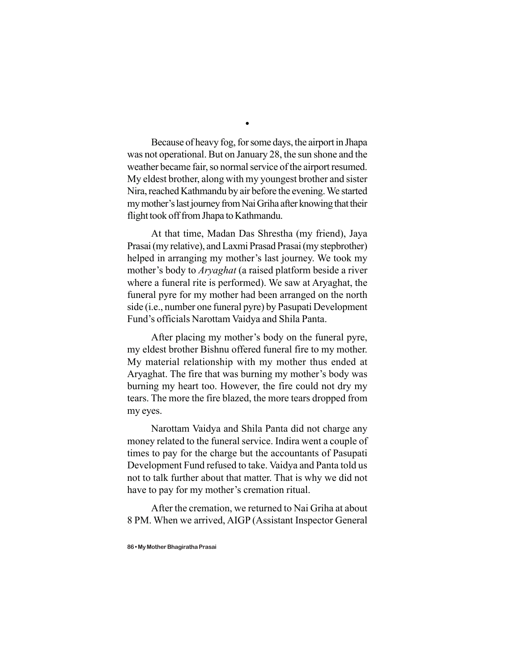Because of heavy fog, for some days, the airport in Jhapa was not operational. But on January 28, the sun shone and the weather became fair, so normal service of the airport resumed. My eldest brother, along with my youngest brother and sister Nira, reached Kathmandu by air before the evening. We started my mother's last journey from Nai Griha after knowing that their flight took off from Jhapa to Kathmandu.

At that time, Madan Das Shrestha (my friend), Jaya Prasai (my relative), and Laxmi Prasad Prasai (my stepbrother) helped in arranging my mother's last journey. We took my mother's body to *Aryaghat* (a raised platform beside a river where a funeral rite is performed). We saw at Aryaghat, the funeral pyre for my mother had been arranged on the north side (i.e., number one funeral pyre) by Pasupati Development Fund's officials Narottam Vaidya and Shila Panta.

After placing my mother's body on the funeral pyre, my eldest brother Bishnu offered funeral fire to my mother. My material relationship with my mother thus ended at Aryaghat. The fire that was burning my mother's body was burning my heart too. However, the fire could not dry my tears. The more the fire blazed, the more tears dropped from my eyes.

Narottam Vaidya and Shila Panta did not charge any money related to the funeral service. Indira went a couple of times to pay for the charge but the accountants of Pasupati Development Fund refused to take. Vaidya and Panta told us not to talk further about that matter. That is why we did not have to pay for my mother's cremation ritual.

After the cremation, we returned to Nai Griha at about 8 PM. When we arrived, AIGP (Assistant Inspector General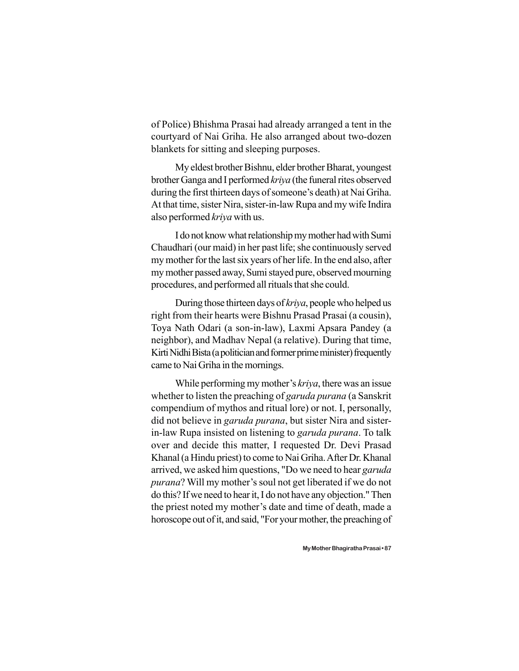of Police) Bhishma Prasai had already arranged a tent in the courtyard of Nai Griha. He also arranged about two-dozen blankets for sitting and sleeping purposes.

My eldest brother Bishnu, elder brother Bharat, youngest brother Ganga and I performed *kriya* (the funeral rites observed during the first thirteen days of someone's death) at Nai Griha. At that time, sister Nira, sister-in-law Rupa and my wife Indira also performed *kriya* with us.

I do not know what relationship my mother had with Sumi Chaudhari (our maid) in her past life; she continuously served my mother for the last six years of her life. In the end also, after my mother passed away, Sumi stayed pure, observed mourning procedures, and performed all rituals that she could.

During those thirteen days of *kriya*, people who helped us right from their hearts were Bishnu Prasad Prasai (a cousin), Toya Nath Odari (a son-in-law), Laxmi Apsara Pandey (a neighbor), and Madhav Nepal (a relative). During that time, Kirti Nidhi Bista (a politician and former prime minister) frequently came to Nai Griha in the mornings.

While performing my mother's *kriya*, there was an issue whether to listen the preaching of *garuda purana* (a Sanskrit compendium of mythos and ritual lore) or not. I, personally, did not believe in *garuda purana*, but sister Nira and sisterin-law Rupa insisted on listening to *garuda purana*. To talk over and decide this matter, I requested Dr. Devi Prasad Khanal (a Hindu priest) to come to Nai Griha. After Dr. Khanal arrived, we asked him questions, "Do we need to hear *garuda purana*? Will my mother's soul not get liberated if we do not do this? If we need to hear it, I do not have any objection." Then the priest noted my mother's date and time of death, made a horoscope out of it, and said, "For your mother, the preaching of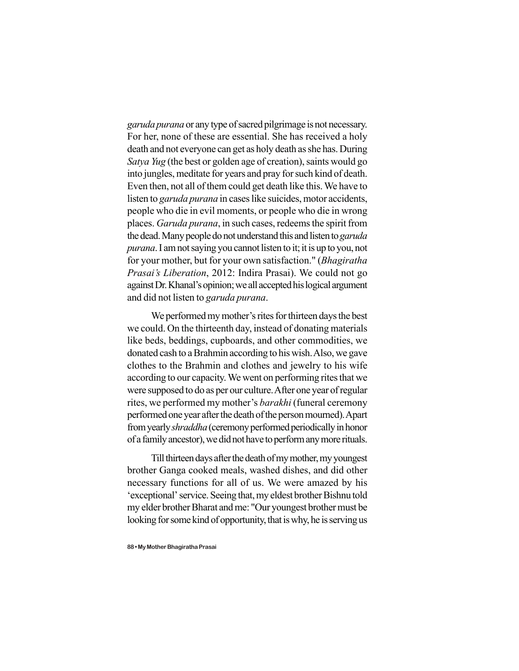*garuda purana* or any type of sacred pilgrimage is not necessary. For her, none of these are essential. She has received a holy death and not everyone can get as holy death as she has. During *Satya Yug* (the best or golden age of creation), saints would go into jungles, meditate for years and pray for such kind of death. Even then, not all of them could get death like this. We have to listen to *garuda purana* in cases like suicides, motor accidents, people who die in evil moments, or people who die in wrong places. *Garuda purana*, in such cases, redeems the spirit from the dead. Many people do not understand this and listen to *garuda purana*. I am not saying you cannot listen to it; it is up to you, not for your mother, but for your own satisfaction." (*Bhagiratha Prasai's Liberation*, 2012: Indira Prasai). We could not go against Dr. Khanal's opinion; we all accepted his logical argument and did not listen to *garuda purana*.

We performed my mother's rites for thirteen days the best we could. On the thirteenth day, instead of donating materials like beds, beddings, cupboards, and other commodities, we donated cash to a Brahmin according to his wish. Also, we gave clothes to the Brahmin and clothes and jewelry to his wife according to our capacity. We went on performing rites that we were supposed to do as per our culture. After one year of regular rites, we performed my mother's *barakhi* (funeral ceremony performed one year after the death of the person mourned). Apart from yearly *shraddha* (ceremony performed periodically in honor of a family ancestor), we did not have to perform any more rituals.

Till thirteen days after the death of my mother, my youngest brother Ganga cooked meals, washed dishes, and did other necessary functions for all of us. We were amazed by his 'exceptional' service. Seeing that, my eldest brother Bishnu told my elder brother Bharat and me: "Our youngest brother must be looking for some kind of opportunity, that is why, he is serving us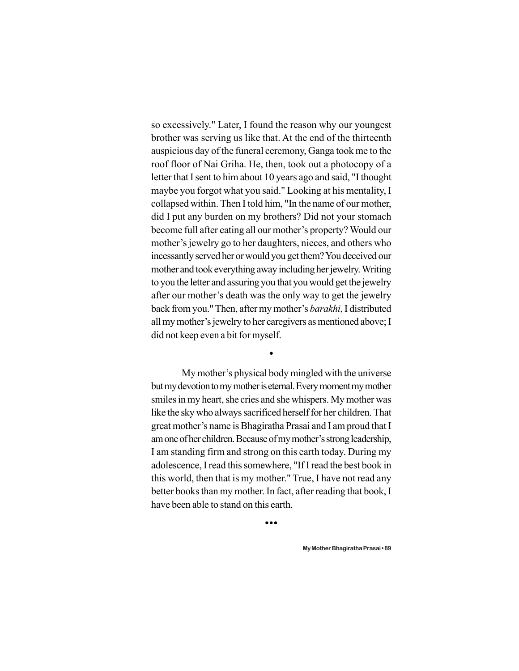so excessively." Later, I found the reason why our youngest brother was serving us like that. At the end of the thirteenth auspicious day of the funeral ceremony, Ganga took me to the roof floor of Nai Griha. He, then, took out a photocopy of a letter that I sent to him about 10 years ago and said, "I thought maybe you forgot what you said." Looking at his mentality, I collapsed within. Then I told him, "In the name of our mother, did I put any burden on my brothers? Did not your stomach become full after eating all our mother's property? Would our mother's jewelry go to her daughters, nieces, and others who incessantly served her or would you get them? You deceived our mother and took everything away including her jewelry. Writing to you the letter and assuring you that you would get the jewelry after our mother's death was the only way to get the jewelry back from you." Then, after my mother's *barakhi*, I distributed all my mother's jewelry to her caregivers as mentioned above; I did not keep even a bit for myself.

My mother's physical body mingled with the universe but my devotion to my mother is eternal. Every moment my mother smiles in my heart, she cries and she whispers. My mother was like the sky who always sacrificed herself for her children. That great mother's name is Bhagiratha Prasai and I am proud that I am one of her children. Because of my mother's strong leadership, I am standing firm and strong on this earth today. During my adolescence, I read this somewhere, "If I read the best book in this world, then that is my mother." True, I have not read any better books than my mother. In fact, after reading that book, I have been able to stand on this earth.

 $\bullet$ 

 $\bullet$